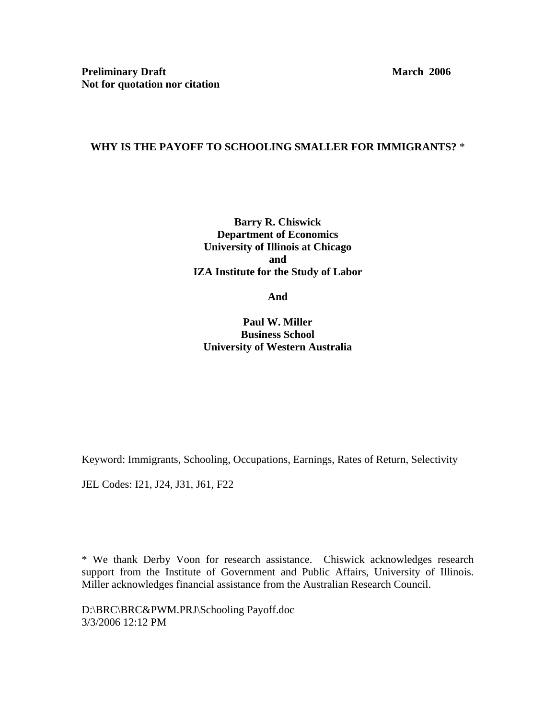# **WHY IS THE PAYOFF TO SCHOOLING SMALLER FOR IMMIGRANTS?** \*

**Barry R. Chiswick Department of Economics University of Illinois at Chicago and IZA Institute for the Study of Labor** 

**And** 

**Paul W. Miller Business School University of Western Australia** 

Keyword: Immigrants, Schooling, Occupations, Earnings, Rates of Return, Selectivity

JEL Codes: I21, J24, J31, J61, F22

\* We thank Derby Voon for research assistance. Chiswick acknowledges research support from the Institute of Government and Public Affairs, University of Illinois. Miller acknowledges financial assistance from the Australian Research Council.

D:\BRC\BRC&PWM.PRJ\Schooling Payoff.doc 3/3/2006 12:12 PM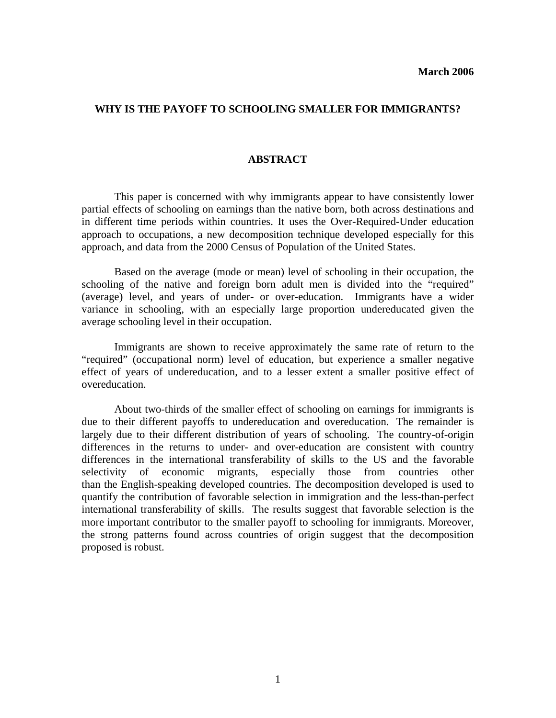### **WHY IS THE PAYOFF TO SCHOOLING SMALLER FOR IMMIGRANTS?**

### **ABSTRACT**

 This paper is concerned with why immigrants appear to have consistently lower partial effects of schooling on earnings than the native born, both across destinations and in different time periods within countries. It uses the Over-Required-Under education approach to occupations, a new decomposition technique developed especially for this approach, and data from the 2000 Census of Population of the United States.

 Based on the average (mode or mean) level of schooling in their occupation, the schooling of the native and foreign born adult men is divided into the "required" (average) level, and years of under- or over-education. Immigrants have a wider variance in schooling, with an especially large proportion undereducated given the average schooling level in their occupation.

 Immigrants are shown to receive approximately the same rate of return to the "required" (occupational norm) level of education, but experience a smaller negative effect of years of undereducation, and to a lesser extent a smaller positive effect of overeducation.

 About two-thirds of the smaller effect of schooling on earnings for immigrants is due to their different payoffs to undereducation and overeducation. The remainder is largely due to their different distribution of years of schooling. The country-of-origin differences in the returns to under- and over-education are consistent with country differences in the international transferability of skills to the US and the favorable selectivity of economic migrants, especially those from countries other than the English-speaking developed countries. The decomposition developed is used to quantify the contribution of favorable selection in immigration and the less-than-perfect international transferability of skills. The results suggest that favorable selection is the more important contributor to the smaller payoff to schooling for immigrants. Moreover, the strong patterns found across countries of origin suggest that the decomposition proposed is robust.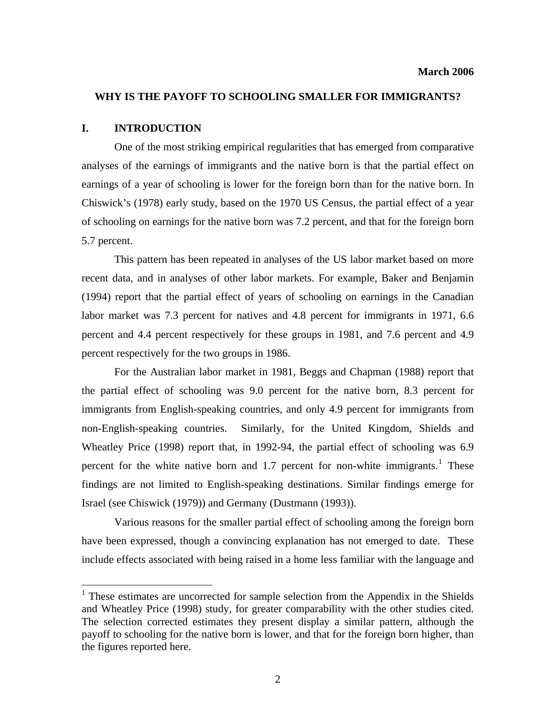## **WHY IS THE PAYOFF TO SCHOOLING SMALLER FOR IMMIGRANTS?**

#### **I. INTRODUCTION**

 $\overline{a}$ 

 One of the most striking empirical regularities that has emerged from comparative analyses of the earnings of immigrants and the native born is that the partial effect on earnings of a year of schooling is lower for the foreign born than for the native born. In Chiswick's (1978) early study, based on the 1970 US Census, the partial effect of a year of schooling on earnings for the native born was 7.2 percent, and that for the foreign born 5.7 percent.

 This pattern has been repeated in analyses of the US labor market based on more recent data, and in analyses of other labor markets. For example, Baker and Benjamin (1994) report that the partial effect of years of schooling on earnings in the Canadian labor market was 7.3 percent for natives and 4.8 percent for immigrants in 1971, 6.6 percent and 4.4 percent respectively for these groups in 1981, and 7.6 percent and 4.9 percent respectively for the two groups in 1986.

 For the Australian labor market in 1981, Beggs and Chapman (1988) report that the partial effect of schooling was 9.0 percent for the native born, 8.3 percent for immigrants from English-speaking countries, and only 4.9 percent for immigrants from non-English-speaking countries. Similarly, for the United Kingdom, Shields and Wheatley Price (1998) report that, in 1992-94, the partial effect of schooling was 6.9 percent for the white native born and [1](#page-2-0).7 percent for non-white immigrants.<sup>1</sup> These findings are not limited to English-speaking destinations. Similar findings emerge for Israel (see Chiswick (1979)) and Germany (Dustmann (1993)).

 Various reasons for the smaller partial effect of schooling among the foreign born have been expressed, though a convincing explanation has not emerged to date. These include effects associated with being raised in a home less familiar with the language and

<span id="page-2-0"></span><sup>&</sup>lt;sup>1</sup> These estimates are uncorrected for sample selection from the Appendix in the Shields and Wheatley Price (1998) study, for greater comparability with the other studies cited. The selection corrected estimates they present display a similar pattern, although the payoff to schooling for the native born is lower, and that for the foreign born higher, than the figures reported here.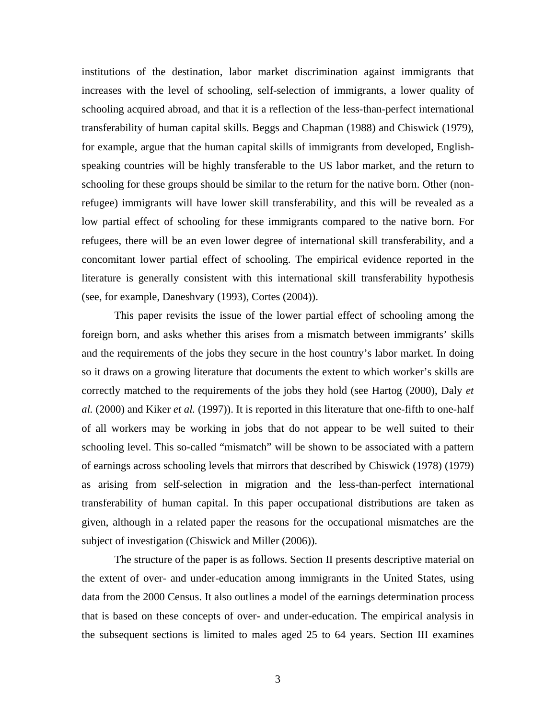institutions of the destination, labor market discrimination against immigrants that increases with the level of schooling, self-selection of immigrants, a lower quality of schooling acquired abroad, and that it is a reflection of the less-than-perfect international transferability of human capital skills. Beggs and Chapman (1988) and Chiswick (1979), for example, argue that the human capital skills of immigrants from developed, Englishspeaking countries will be highly transferable to the US labor market, and the return to schooling for these groups should be similar to the return for the native born. Other (nonrefugee) immigrants will have lower skill transferability, and this will be revealed as a low partial effect of schooling for these immigrants compared to the native born. For refugees, there will be an even lower degree of international skill transferability, and a concomitant lower partial effect of schooling. The empirical evidence reported in the literature is generally consistent with this international skill transferability hypothesis (see, for example, Daneshvary (1993), Cortes (2004)).

 This paper revisits the issue of the lower partial effect of schooling among the foreign born, and asks whether this arises from a mismatch between immigrants' skills and the requirements of the jobs they secure in the host country's labor market. In doing so it draws on a growing literature that documents the extent to which worker's skills are correctly matched to the requirements of the jobs they hold (see Hartog (2000), Daly *et al.* (2000) and Kiker *et al.* (1997)). It is reported in this literature that one-fifth to one-half of all workers may be working in jobs that do not appear to be well suited to their schooling level. This so-called "mismatch" will be shown to be associated with a pattern of earnings across schooling levels that mirrors that described by Chiswick (1978) (1979) as arising from self-selection in migration and the less-than-perfect international transferability of human capital. In this paper occupational distributions are taken as given, although in a related paper the reasons for the occupational mismatches are the subject of investigation (Chiswick and Miller (2006)).

 The structure of the paper is as follows. Section II presents descriptive material on the extent of over- and under-education among immigrants in the United States, using data from the 2000 Census. It also outlines a model of the earnings determination process that is based on these concepts of over- and under-education. The empirical analysis in the subsequent sections is limited to males aged 25 to 64 years. Section III examines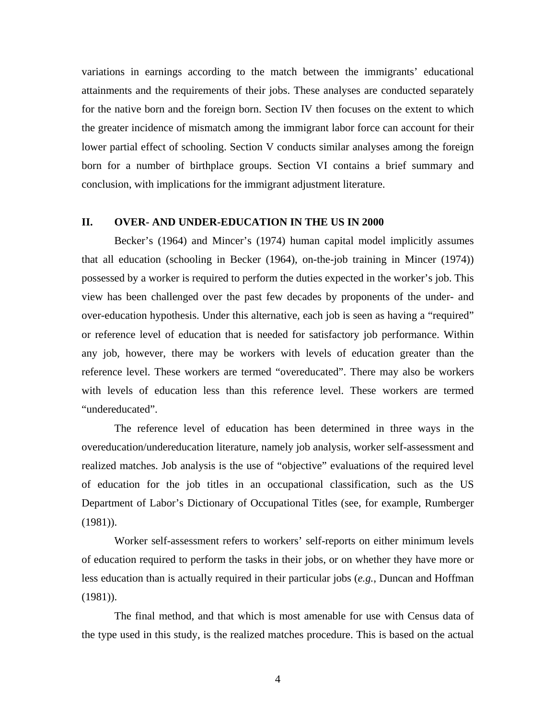variations in earnings according to the match between the immigrants' educational attainments and the requirements of their jobs. These analyses are conducted separately for the native born and the foreign born. Section IV then focuses on the extent to which the greater incidence of mismatch among the immigrant labor force can account for their lower partial effect of schooling. Section V conducts similar analyses among the foreign born for a number of birthplace groups. Section VI contains a brief summary and conclusion, with implications for the immigrant adjustment literature.

## **II. OVER- AND UNDER-EDUCATION IN THE US IN 2000**

 Becker's (1964) and Mincer's (1974) human capital model implicitly assumes that all education (schooling in Becker (1964), on-the-job training in Mincer (1974)) possessed by a worker is required to perform the duties expected in the worker's job. This view has been challenged over the past few decades by proponents of the under- and over-education hypothesis. Under this alternative, each job is seen as having a "required" or reference level of education that is needed for satisfactory job performance. Within any job, however, there may be workers with levels of education greater than the reference level. These workers are termed "overeducated". There may also be workers with levels of education less than this reference level. These workers are termed "undereducated".

 The reference level of education has been determined in three ways in the overeducation/undereducation literature, namely job analysis, worker self-assessment and realized matches. Job analysis is the use of "objective" evaluations of the required level of education for the job titles in an occupational classification, such as the US Department of Labor's Dictionary of Occupational Titles (see, for example, Rumberger (1981)).

 Worker self-assessment refers to workers' self-reports on either minimum levels of education required to perform the tasks in their jobs, or on whether they have more or less education than is actually required in their particular jobs (*e.g.*, Duncan and Hoffman (1981)).

 The final method, and that which is most amenable for use with Census data of the type used in this study, is the realized matches procedure. This is based on the actual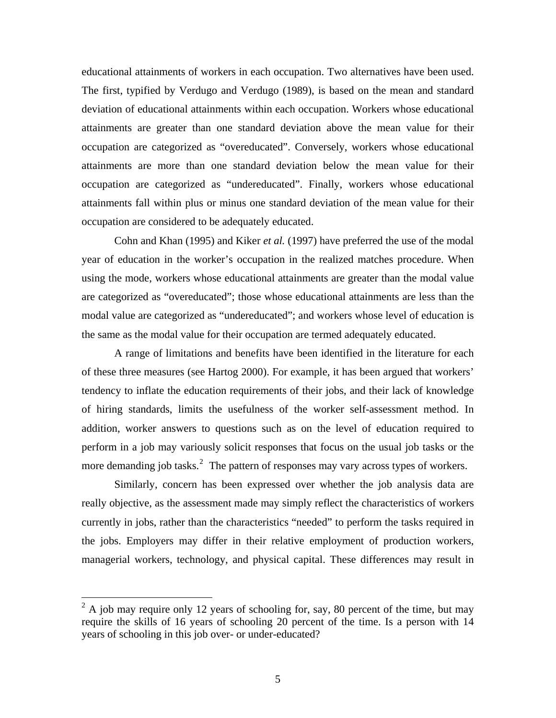<span id="page-5-0"></span>educational attainments of workers in each occupation. Two alternatives have been used. The first, typified by Verdugo and Verdugo (1989), is based on the mean and standard deviation of educational attainments within each occupation. Workers whose educational attainments are greater than one standard deviation above the mean value for their occupation are categorized as "overeducated". Conversely, workers whose educational attainments are more than one standard deviation below the mean value for their occupation are categorized as "undereducated". Finally, workers whose educational attainments fall within plus or minus one standard deviation of the mean value for their occupation are considered to be adequately educated.

 Cohn and Khan (1995) and Kiker *et al.* (1997) have preferred the use of the modal year of education in the worker's occupation in the realized matches procedure. When using the mode, workers whose educational attainments are greater than the modal value are categorized as "overeducated"; those whose educational attainments are less than the modal value are categorized as "undereducated"; and workers whose level of education is the same as the modal value for their occupation are termed adequately educated.

 A range of limitations and benefits have been identified in the literature for each of these three measures (see Hartog 2000). For example, it has been argued that workers' tendency to inflate the education requirements of their jobs, and their lack of knowledge of hiring standards, limits the usefulness of the worker self-assessment method. In addition, worker answers to questions such as on the level of education required to perform in a job may variously solicit responses that focus on the usual job tasks or the more demanding job tasks.<sup>[2](#page-5-0)</sup> The pattern of responses may vary across types of workers.

 Similarly, concern has been expressed over whether the job analysis data are really objective, as the assessment made may simply reflect the characteristics of workers currently in jobs, rather than the characteristics "needed" to perform the tasks required in the jobs. Employers may differ in their relative employment of production workers, managerial workers, technology, and physical capital. These differences may result in

 $2^2$  A job may require only 12 years of schooling for, say, 80 percent of the time, but may require the skills of 16 years of schooling 20 percent of the time. Is a person with 14 years of schooling in this job over- or under-educated?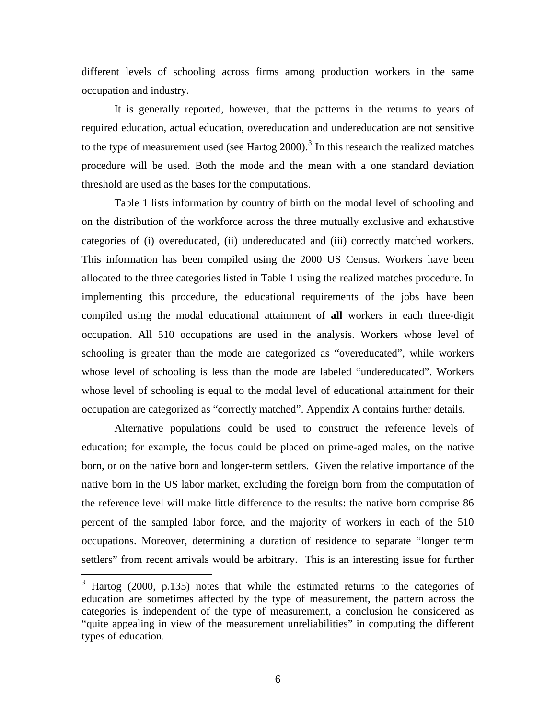<span id="page-6-0"></span>different levels of schooling across firms among production workers in the same occupation and industry.

 It is generally reported, however, that the patterns in the returns to years of required education, actual education, overeducation and undereducation are not sensitive to the type of measurement used (see Hartog  $2000$ ).<sup>[3](#page-6-0)</sup> In this research the realized matches procedure will be used. Both the mode and the mean with a one standard deviation threshold are used as the bases for the computations.

 Table 1 lists information by country of birth on the modal level of schooling and on the distribution of the workforce across the three mutually exclusive and exhaustive categories of (i) overeducated, (ii) undereducated and (iii) correctly matched workers. This information has been compiled using the 2000 US Census. Workers have been allocated to the three categories listed in Table 1 using the realized matches procedure. In implementing this procedure, the educational requirements of the jobs have been compiled using the modal educational attainment of **all** workers in each three-digit occupation. All 510 occupations are used in the analysis. Workers whose level of schooling is greater than the mode are categorized as "overeducated", while workers whose level of schooling is less than the mode are labeled "undereducated". Workers whose level of schooling is equal to the modal level of educational attainment for their occupation are categorized as "correctly matched". Appendix A contains further details.

 Alternative populations could be used to construct the reference levels of education; for example, the focus could be placed on prime-aged males, on the native born, or on the native born and longer-term settlers. Given the relative importance of the native born in the US labor market, excluding the foreign born from the computation of the reference level will make little difference to the results: the native born comprise 86 percent of the sampled labor force, and the majority of workers in each of the 510 occupations. Moreover, determining a duration of residence to separate "longer term settlers" from recent arrivals would be arbitrary. This is an interesting issue for further

<sup>&</sup>lt;sup>3</sup> Hartog (2000, p.135) notes that while the estimated returns to the categories of education are sometimes affected by the type of measurement, the pattern across the categories is independent of the type of measurement, a conclusion he considered as "quite appealing in view of the measurement unreliabilities" in computing the different types of education.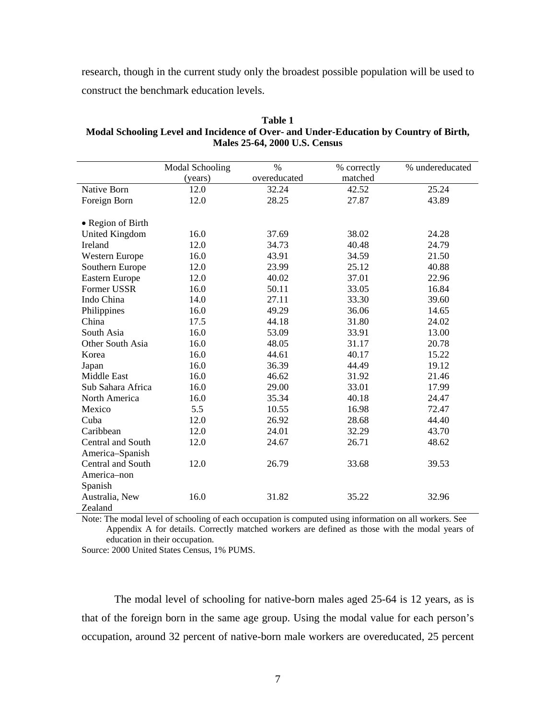research, though in the current study only the broadest possible population will be used to construct the benchmark education levels.

|                       | <b>Modal Schooling</b> | $\frac{0}{0}$ | % correctly | % undereducated |
|-----------------------|------------------------|---------------|-------------|-----------------|
|                       | (years)                | overeducated  | matched     |                 |
| <b>Native Born</b>    | 12.0                   | 32.24         | 42.52       | 25.24           |
| Foreign Born          | 12.0                   | 28.25         | 27.87       | 43.89           |
|                       |                        |               |             |                 |
| • Region of Birth     |                        |               |             |                 |
| <b>United Kingdom</b> | 16.0                   | 37.69         | 38.02       | 24.28           |
| Ireland               | 12.0                   | 34.73         | 40.48       | 24.79           |
| Western Europe        | 16.0                   | 43.91         | 34.59       | 21.50           |
| Southern Europe       | 12.0                   | 23.99         | 25.12       | 40.88           |
| <b>Eastern Europe</b> | 12.0                   | 40.02         | 37.01       | 22.96           |
| Former USSR           | 16.0                   | 50.11         | 33.05       | 16.84           |
| Indo China            | 14.0                   | 27.11         | 33.30       | 39.60           |
| Philippines           | 16.0                   | 49.29         | 36.06       | 14.65           |
| China                 | 17.5                   | 44.18         | 31.80       | 24.02           |
| South Asia            | 16.0                   | 53.09         | 33.91       | 13.00           |
| Other South Asia      | 16.0                   | 48.05         | 31.17       | 20.78           |
| Korea                 | 16.0                   | 44.61         | 40.17       | 15.22           |
| Japan                 | 16.0                   | 36.39         | 44.49       | 19.12           |
| Middle East           | 16.0                   | 46.62         | 31.92       | 21.46           |
| Sub Sahara Africa     | 16.0                   | 29.00         | 33.01       | 17.99           |
| North America         | 16.0                   | 35.34         | 40.18       | 24.47           |
| Mexico                | 5.5                    | 10.55         | 16.98       | 72.47           |
| Cuba                  | 12.0                   | 26.92         | 28.68       | 44.40           |
| Caribbean             | 12.0                   | 24.01         | 32.29       | 43.70           |
| Central and South     | 12.0                   | 24.67         | 26.71       | 48.62           |
| America-Spanish       |                        |               |             |                 |
| Central and South     | 12.0                   | 26.79         | 33.68       | 39.53           |
| America-non           |                        |               |             |                 |
| Spanish               |                        |               |             |                 |
| Australia, New        | 16.0                   | 31.82         | 35.22       | 32.96           |
| Zealand               |                        |               |             |                 |

**Table 1 Modal Schooling Level and Incidence of Over- and Under-Education by Country of Birth, Males 25-64, 2000 U.S. Census** 

Note: The modal level of schooling of each occupation is computed using information on all workers. See Appendix A for details. Correctly matched workers are defined as those with the modal years of education in their occupation.

Source: 2000 United States Census, 1% PUMS.

 The modal level of schooling for native-born males aged 25-64 is 12 years, as is that of the foreign born in the same age group. Using the modal value for each person's occupation, around 32 percent of native-born male workers are overeducated, 25 percent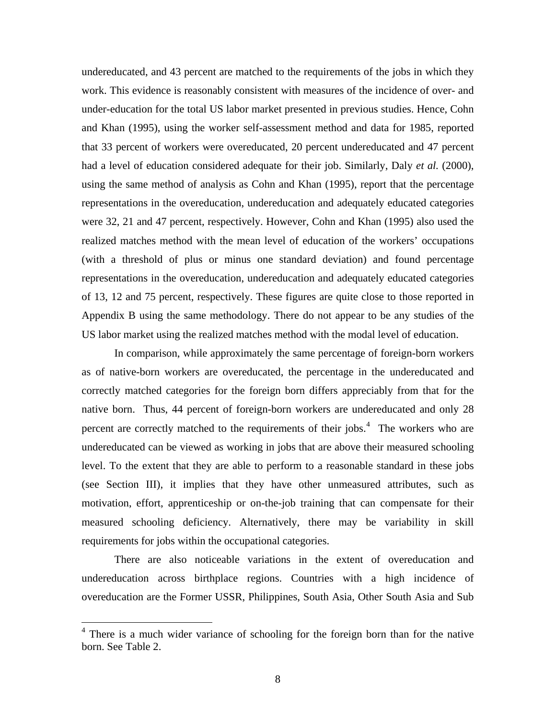<span id="page-8-0"></span>undereducated, and 43 percent are matched to the requirements of the jobs in which they work. This evidence is reasonably consistent with measures of the incidence of over- and under-education for the total US labor market presented in previous studies. Hence, Cohn and Khan (1995), using the worker self-assessment method and data for 1985, reported that 33 percent of workers were overeducated, 20 percent undereducated and 47 percent had a level of education considered adequate for their job. Similarly, Daly *et al.* (2000), using the same method of analysis as Cohn and Khan (1995), report that the percentage representations in the overeducation, undereducation and adequately educated categories were 32, 21 and 47 percent, respectively. However, Cohn and Khan (1995) also used the realized matches method with the mean level of education of the workers' occupations (with a threshold of plus or minus one standard deviation) and found percentage representations in the overeducation, undereducation and adequately educated categories of 13, 12 and 75 percent, respectively. These figures are quite close to those reported in Appendix B using the same methodology. There do not appear to be any studies of the US labor market using the realized matches method with the modal level of education.

 In comparison, while approximately the same percentage of foreign-born workers as of native-born workers are overeducated, the percentage in the undereducated and correctly matched categories for the foreign born differs appreciably from that for the native born. Thus, 44 percent of foreign-born workers are undereducated and only 28 percent are correctly matched to the requirements of their jobs. $4$  The workers who are undereducated can be viewed as working in jobs that are above their measured schooling level. To the extent that they are able to perform to a reasonable standard in these jobs (see Section III), it implies that they have other unmeasured attributes, such as motivation, effort, apprenticeship or on-the-job training that can compensate for their measured schooling deficiency. Alternatively, there may be variability in skill requirements for jobs within the occupational categories.

 There are also noticeable variations in the extent of overeducation and undereducation across birthplace regions. Countries with a high incidence of overeducation are the Former USSR, Philippines, South Asia, Other South Asia and Sub

<sup>&</sup>lt;sup>4</sup> There is a much wider variance of schooling for the foreign born than for the native born. See Table 2.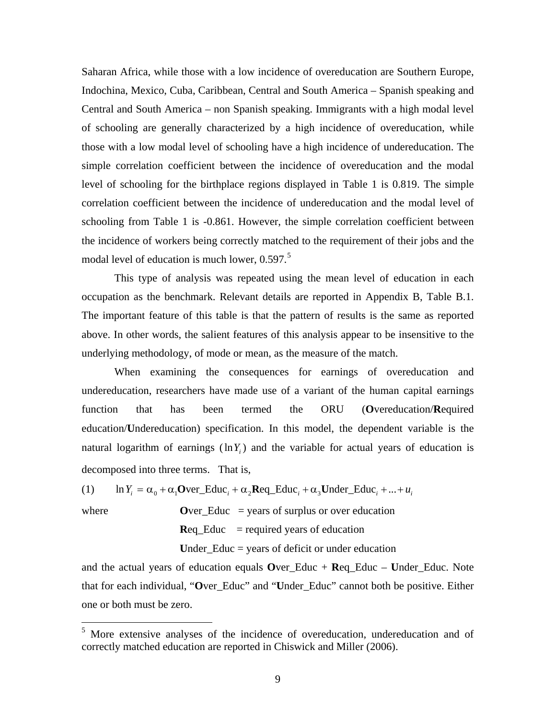<span id="page-9-0"></span>Saharan Africa, while those with a low incidence of overeducation are Southern Europe, Indochina, Mexico, Cuba, Caribbean, Central and South America – Spanish speaking and Central and South America – non Spanish speaking. Immigrants with a high modal level of schooling are generally characterized by a high incidence of overeducation, while those with a low modal level of schooling have a high incidence of undereducation. The simple correlation coefficient between the incidence of overeducation and the modal level of schooling for the birthplace regions displayed in Table 1 is 0.819. The simple correlation coefficient between the incidence of undereducation and the modal level of schooling from Table 1 is -0.861. However, the simple correlation coefficient between the incidence of workers being correctly matched to the requirement of their jobs and the modal level of education is much lower, 0.[5](#page-9-0)97.<sup>5</sup>

 This type of analysis was repeated using the mean level of education in each occupation as the benchmark. Relevant details are reported in Appendix B, Table B.1. The important feature of this table is that the pattern of results is the same as reported above. In other words, the salient features of this analysis appear to be insensitive to the underlying methodology, of mode or mean, as the measure of the match.

 When examining the consequences for earnings of overeducation and undereducation, researchers have made use of a variant of the human capital earnings function that has been termed the ORU (**O**vereducation/**R**equired education/**U**ndereducation) specification. In this model, the dependent variable is the natural logarithm of earnings  $(\ln Y_i)$  and the variable for actual years of education is decomposed into three terms. That is,

(1) 
$$
\ln Y_i = \alpha_0 + \alpha_1 \text{Over\_Educ}_i + \alpha_2 \text{Req\_Educ}_i + \alpha_3 \text{Under\_Educ}_i + ... + u_i
$$

where  $\bf{Over}_E$  Educ = years of surplus or over education **Req.** Educ  $=$  required years of education

 $\overline{a}$ 

**U**nder\_Educ = years of deficit or under education

and the actual years of education equals **O**ver\_Educ + **R**eq\_Educ – **U**nder\_Educ. Note that for each individual, "**O**ver\_Educ" and "**U**nder\_Educ" cannot both be positive. Either one or both must be zero.

<sup>&</sup>lt;sup>5</sup> More extensive analyses of the incidence of overeducation, undereducation and of correctly matched education are reported in Chiswick and Miller (2006).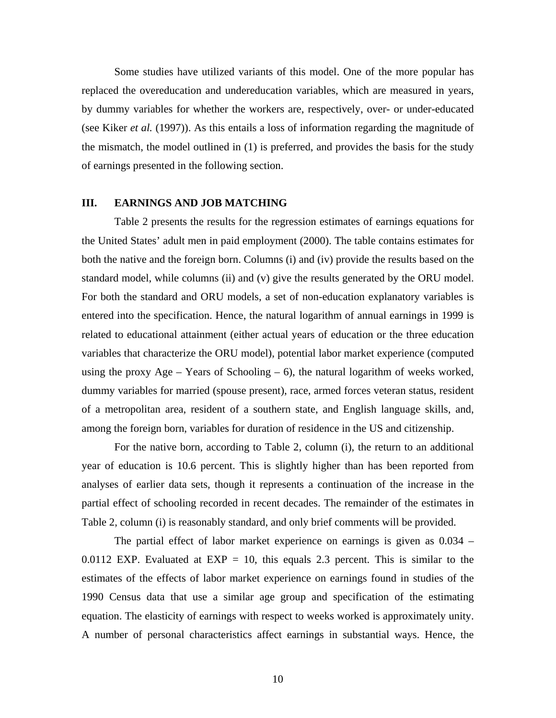Some studies have utilized variants of this model. One of the more popular has replaced the overeducation and undereducation variables, which are measured in years, by dummy variables for whether the workers are, respectively, over- or under-educated (see Kiker *et al.* (1997)). As this entails a loss of information regarding the magnitude of the mismatch, the model outlined in (1) is preferred, and provides the basis for the study of earnings presented in the following section.

### **III. EARNINGS AND JOB MATCHING**

 Table 2 presents the results for the regression estimates of earnings equations for the United States' adult men in paid employment (2000). The table contains estimates for both the native and the foreign born. Columns (i) and (iv) provide the results based on the standard model, while columns (ii) and (v) give the results generated by the ORU model. For both the standard and ORU models, a set of non-education explanatory variables is entered into the specification. Hence, the natural logarithm of annual earnings in 1999 is related to educational attainment (either actual years of education or the three education variables that characterize the ORU model), potential labor market experience (computed using the proxy  $Age - Years$  of Schooling  $-6$ ), the natural logarithm of weeks worked, dummy variables for married (spouse present), race, armed forces veteran status, resident of a metropolitan area, resident of a southern state, and English language skills, and, among the foreign born, variables for duration of residence in the US and citizenship.

 For the native born, according to Table 2, column (i), the return to an additional year of education is 10.6 percent. This is slightly higher than has been reported from analyses of earlier data sets, though it represents a continuation of the increase in the partial effect of schooling recorded in recent decades. The remainder of the estimates in Table 2, column (i) is reasonably standard, and only brief comments will be provided.

 The partial effect of labor market experience on earnings is given as 0.034 – 0.0112 EXP. Evaluated at EXP = 10, this equals 2.3 percent. This is similar to the estimates of the effects of labor market experience on earnings found in studies of the 1990 Census data that use a similar age group and specification of the estimating equation. The elasticity of earnings with respect to weeks worked is approximately unity. A number of personal characteristics affect earnings in substantial ways. Hence, the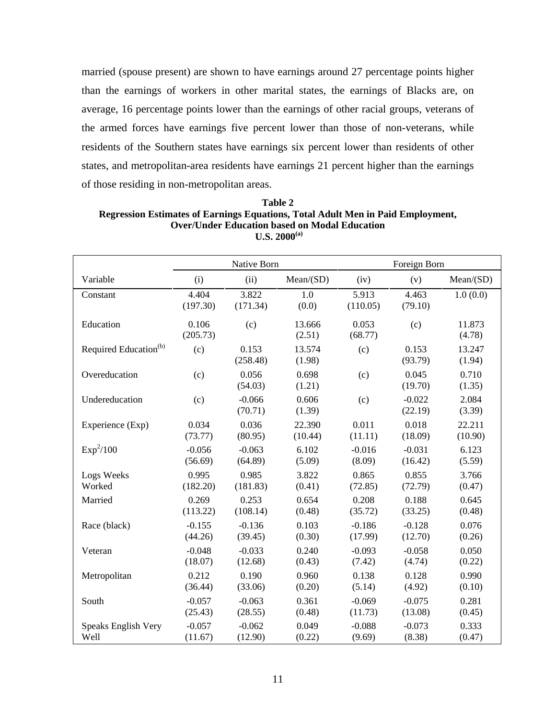married (spouse present) are shown to have earnings around 27 percentage points higher than the earnings of workers in other marital states, the earnings of Blacks are, on average, 16 percentage points lower than the earnings of other racial groups, veterans of the armed forces have earnings five percent lower than those of non-veterans, while residents of the Southern states have earnings six percent lower than residents of other states, and metropolitan-area residents have earnings 21 percent higher than the earnings of those residing in non-metropolitan areas.

|                                   | Native Born       |                     |                  |                   | Foreign Born        |                  |
|-----------------------------------|-------------------|---------------------|------------------|-------------------|---------------------|------------------|
| Variable                          | (i)               | (ii)                | Mean(SD)         | (iv)              | (v)                 | Mean(SD)         |
| Constant                          | 4.404<br>(197.30) | 3.822<br>(171.34)   | 1.0<br>(0.0)     | 5.913<br>(110.05) | 4.463<br>(79.10)    | 1.0(0.0)         |
| Education                         | 0.106<br>(205.73) | (c)                 | 13.666<br>(2.51) | 0.053<br>(68.77)  | (c)                 | 11.873<br>(4.78) |
| Required Education <sup>(b)</sup> | (c)               | 0.153<br>(258.48)   | 13.574<br>(1.98) | (c)               | 0.153<br>(93.79)    | 13.247<br>(1.94) |
| Overeducation                     | (c)               | 0.056<br>(54.03)    | 0.698<br>(1.21)  | (c)               | 0.045<br>(19.70)    | 0.710<br>(1.35)  |
| Undereducation                    | (c)               | $-0.066$<br>(70.71) | 0.606<br>(1.39)  | (c)               | $-0.022$<br>(22.19) | 2.084<br>(3.39)  |
| Experience (Exp)                  | 0.034             | 0.036               | 22.390           | 0.011             | 0.018               | 22.211           |
|                                   | (73.77)           | (80.95)             | (10.44)          | (11.11)           | (18.09)             | (10.90)          |
| Exp <sup>2</sup> /100             | $-0.056$          | $-0.063$            | 6.102            | $-0.016$          | $-0.031$            | 6.123            |
|                                   | (56.69)           | (64.89)             | (5.09)           | (8.09)            | (16.42)             | (5.59)           |
| Logs Weeks                        | 0.995             | 0.985               | 3.822            | 0.865             | 0.855               | 3.766            |
| Worked                            | (182.20)          | (181.83)            | (0.41)           | (72.85)           | (72.79)             | (0.47)           |
| Married                           | 0.269             | 0.253               | 0.654            | 0.208             | 0.188               | 0.645            |
|                                   | (113.22)          | (108.14)            | (0.48)           | (35.72)           | (33.25)             | (0.48)           |
| Race (black)                      | $-0.155$          | $-0.136$            | 0.103            | $-0.186$          | $-0.128$            | 0.076            |
|                                   | (44.26)           | (39.45)             | (0.30)           | (17.99)           | (12.70)             | (0.26)           |
| Veteran                           | $-0.048$          | $-0.033$            | 0.240            | $-0.093$          | $-0.058$            | 0.050            |
|                                   | (18.07)           | (12.68)             | (0.43)           | (7.42)            | (4.74)              | (0.22)           |
| Metropolitan                      | 0.212             | 0.190               | 0.960            | 0.138             | 0.128               | 0.990            |
|                                   | (36.44)           | (33.06)             | (0.20)           | (5.14)            | (4.92)              | (0.10)           |
| South                             | $-0.057$          | $-0.063$            | 0.361            | $-0.069$          | $-0.075$            | 0.281            |
|                                   | (25.43)           | (28.55)             | (0.48)           | (11.73)           | (13.08)             | (0.45)           |
| Speaks English Very               | $-0.057$          | $-0.062$            | 0.049            | $-0.088$          | $-0.073$            | 0.333            |
| Well                              | (11.67)           | (12.90)             | (0.22)           | (9.69)            | (8.38)              | (0.47)           |

| Table 2                                                                         |
|---------------------------------------------------------------------------------|
| Regression Estimates of Earnings Equations, Total Adult Men in Paid Employment, |
| <b>Over/Under Education based on Modal Education</b>                            |
| $U.S. 2000^{(a)}$                                                               |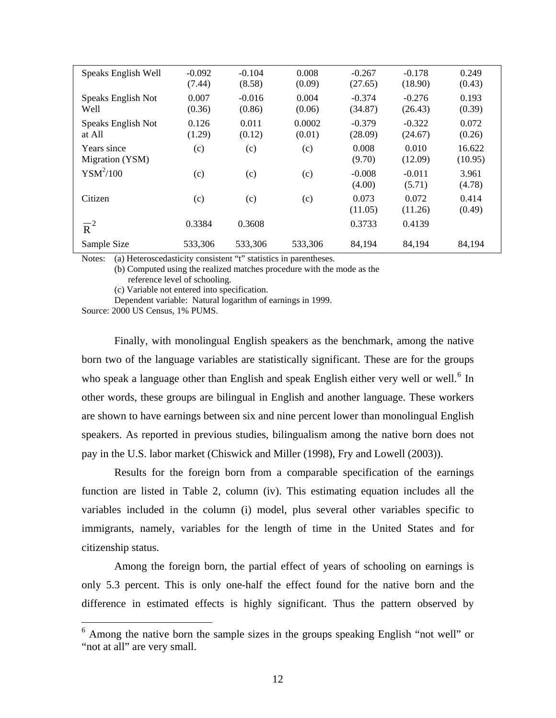<span id="page-12-0"></span>

| Speaks English Well            | $-0.092$<br>(7.44) | $-0.104$<br>(8.58) | 0.008<br>(0.09)  | $-0.267$<br>(27.65) | $-0.178$<br>(18.90) | 0.249<br>(0.43)   |
|--------------------------------|--------------------|--------------------|------------------|---------------------|---------------------|-------------------|
| Speaks English Not<br>Well     | 0.007<br>(0.36)    | $-0.016$<br>(0.86) | 0.004<br>(0.06)  | $-0.374$<br>(34.87) | $-0.276$<br>(26.43) | 0.193<br>(0.39)   |
| Speaks English Not<br>at All   | 0.126<br>(1.29)    | 0.011<br>(0.12)    | 0.0002<br>(0.01) | $-0.379$<br>(28.09) | $-0.322$<br>(24.67) | 0.072<br>(0.26)   |
| Years since<br>Migration (YSM) | (c)                | (c)                | (c)              | 0.008<br>(9.70)     | 0.010<br>(12.09)    | 16.622<br>(10.95) |
| $YSM^2/100$                    | (c)                | (c)                | (c)              | $-0.008$<br>(4.00)  | $-0.011$<br>(5.71)  | 3.961<br>(4.78)   |
| Citizen                        | (c)                | (c)                | (c)              | 0.073<br>(11.05)    | 0.072<br>(11.26)    | 0.414<br>(0.49)   |
| $\overline{R}^2$               | 0.3384             | 0.3608             |                  | 0.3733              | 0.4139              |                   |
| Sample Size                    | 533,306            | 533,306            | 533,306          | 84,194              | 84,194              | 84,194            |

Notes: (a) Heteroscedasticity consistent "t" statistics in parentheses.

(b) Computed using the realized matches procedure with the mode as the reference level of schooling.

(c) Variable not entered into specification.

Dependent variable: Natural logarithm of earnings in 1999.

Source: 2000 US Census, 1% PUMS.

1

 Finally, with monolingual English speakers as the benchmark, among the native born two of the language variables are statistically significant. These are for the groups who speak a language other than English and speak English either very well or well.<sup>[6](#page-12-0)</sup> In other words, these groups are bilingual in English and another language. These workers are shown to have earnings between six and nine percent lower than monolingual English speakers. As reported in previous studies, bilingualism among the native born does not pay in the U.S. labor market (Chiswick and Miller (1998), Fry and Lowell (2003)).

 Results for the foreign born from a comparable specification of the earnings function are listed in Table 2, column (iv). This estimating equation includes all the variables included in the column (i) model, plus several other variables specific to immigrants, namely, variables for the length of time in the United States and for citizenship status.

 Among the foreign born, the partial effect of years of schooling on earnings is only 5.3 percent. This is only one-half the effect found for the native born and the difference in estimated effects is highly significant. Thus the pattern observed by

<sup>&</sup>lt;sup>6</sup> Among the native born the sample sizes in the groups speaking English "not well" or "not at all" are very small.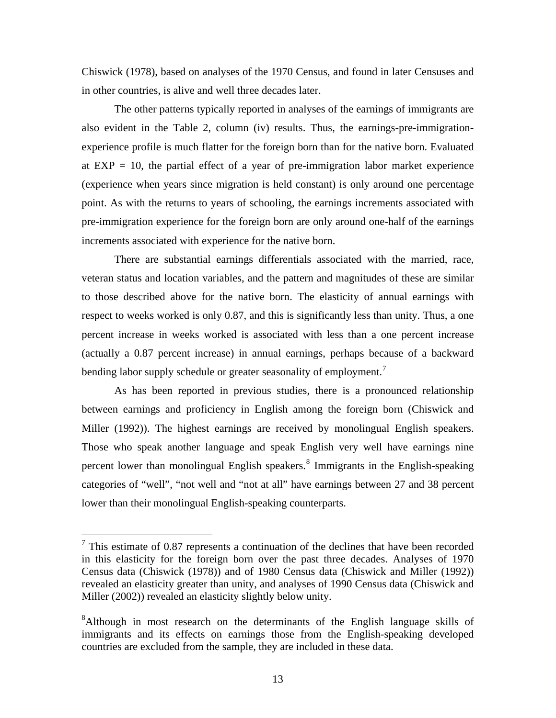<span id="page-13-0"></span>Chiswick (1978), based on analyses of the 1970 Census, and found in later Censuses and in other countries, is alive and well three decades later.

 The other patterns typically reported in analyses of the earnings of immigrants are also evident in the Table 2, column (iv) results. Thus, the earnings-pre-immigrationexperience profile is much flatter for the foreign born than for the native born. Evaluated at  $EXP = 10$ , the partial effect of a year of pre-immigration labor market experience (experience when years since migration is held constant) is only around one percentage point. As with the returns to years of schooling, the earnings increments associated with pre-immigration experience for the foreign born are only around one-half of the earnings increments associated with experience for the native born.

 There are substantial earnings differentials associated with the married, race, veteran status and location variables, and the pattern and magnitudes of these are similar to those described above for the native born. The elasticity of annual earnings with respect to weeks worked is only 0.87, and this is significantly less than unity. Thus, a one percent increase in weeks worked is associated with less than a one percent increase (actually a 0.87 percent increase) in annual earnings, perhaps because of a backward bending labor supply schedule or greater seasonality of employment.<sup>[7](#page-13-0)</sup>

 As has been reported in previous studies, there is a pronounced relationship between earnings and proficiency in English among the foreign born (Chiswick and Miller (1992)). The highest earnings are received by monolingual English speakers. Those who speak another language and speak English very well have earnings nine percent lower than monolingual English speakers.<sup>[8](#page-13-0)</sup> Immigrants in the English-speaking categories of "well", "not well and "not at all" have earnings between 27 and 38 percent lower than their monolingual English-speaking counterparts.

 $7$  This estimate of 0.87 represents a continuation of the declines that have been recorded in this elasticity for the foreign born over the past three decades. Analyses of 1970 Census data (Chiswick (1978)) and of 1980 Census data (Chiswick and Miller (1992)) revealed an elasticity greater than unity, and analyses of 1990 Census data (Chiswick and Miller (2002)) revealed an elasticity slightly below unity.

<sup>&</sup>lt;sup>8</sup>Although in most research on the determinants of the English language skills of immigrants and its effects on earnings those from the English-speaking developed countries are excluded from the sample, they are included in these data.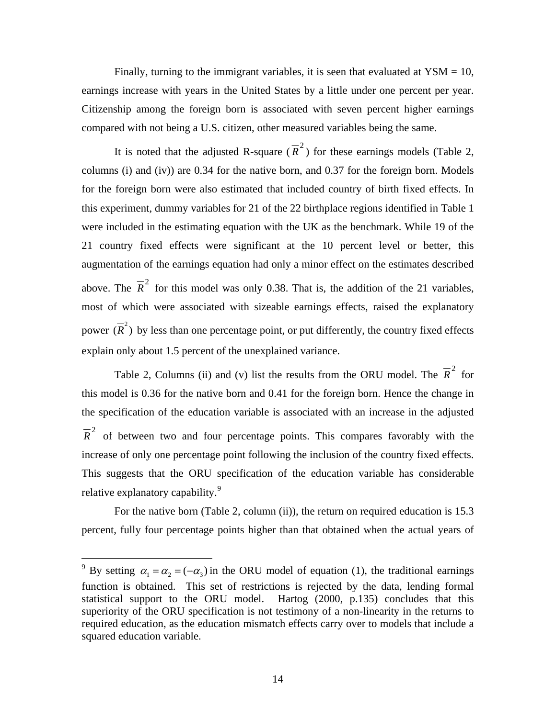<span id="page-14-0"></span>Finally, turning to the immigrant variables, it is seen that evaluated at  $YSM = 10$ , earnings increase with years in the United States by a little under one percent per year. Citizenship among the foreign born is associated with seven percent higher earnings compared with not being a U.S. citizen, other measured variables being the same.

It is noted that the adjusted R-square  $(\overline{R}^2)$  for these earnings models (Table 2, columns (i) and (iv)) are 0.34 for the native born, and 0.37 for the foreign born. Models for the foreign born were also estimated that included country of birth fixed effects. In this experiment, dummy variables for 21 of the 22 birthplace regions identified in Table 1 were included in the estimating equation with the UK as the benchmark. While 19 of the 21 country fixed effects were significant at the 10 percent level or better, this augmentation of the earnings equation had only a minor effect on the estimates described above. The  $\overline{R}^2$  for this model was only 0.38. That is, the addition of the 21 variables, most of which were associated with sizeable earnings effects, raised the explanatory power  $(\overline{R}^2)$  by less than one percentage point, or put differently, the country fixed effects explain only about 1.5 percent of the unexplained variance.

Table 2, Columns (ii) and (v) list the results from the ORU model. The  $\overline{R}^2$  for this model is 0.36 for the native born and 0.41 for the foreign born. Hence the change in the specification of the education variable is associated with an increase in the adjusted  $\overline{R}^2$  of between two and four percentage points. This compares favorably with the increase of only one percentage point following the inclusion of the country fixed effects. This suggests that the ORU specification of the education variable has considerable relative explanatory capability.<sup>[9](#page-14-0)</sup>

For the native born (Table 2, column (ii)), the return on required education is 15.3 percent, fully four percentage points higher than that obtained when the actual years of

<sup>&</sup>lt;sup>9</sup> By setting  $\alpha_1 = \alpha_2 = (-\alpha_3)$  in the ORU model of equation (1), the traditional earnings function is obtained. This set of restrictions is rejected by the data, lending formal statistical support to the ORU model. Hartog (2000, p.135) concludes that this superiority of the ORU specification is not testimony of a non-linearity in the returns to required education, as the education mismatch effects carry over to models that include a squared education variable.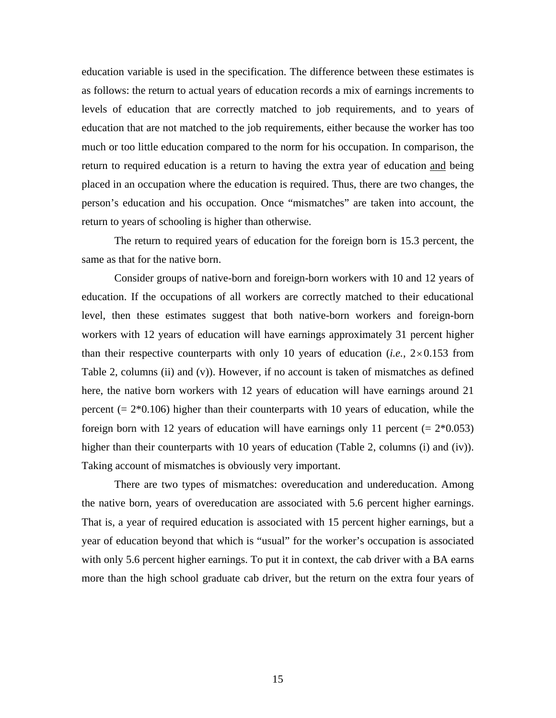education variable is used in the specification. The difference between these estimates is as follows: the return to actual years of education records a mix of earnings increments to levels of education that are correctly matched to job requirements, and to years of education that are not matched to the job requirements, either because the worker has too much or too little education compared to the norm for his occupation. In comparison, the return to required education is a return to having the extra year of education and being placed in an occupation where the education is required. Thus, there are two changes, the person's education and his occupation. Once "mismatches" are taken into account, the return to years of schooling is higher than otherwise.

 The return to required years of education for the foreign born is 15.3 percent, the same as that for the native born.

 Consider groups of native-born and foreign-born workers with 10 and 12 years of education. If the occupations of all workers are correctly matched to their educational level, then these estimates suggest that both native-born workers and foreign-born workers with 12 years of education will have earnings approximately 31 percent higher than their respective counterparts with only 10 years of education (*i.e.*, 2×0.153 from Table 2, columns (ii) and (v)). However, if no account is taken of mismatches as defined here, the native born workers with 12 years of education will have earnings around 21 percent  $(= 2*0.106)$  higher than their counterparts with 10 years of education, while the foreign born with 12 years of education will have earnings only 11 percent  $(= 2*0.053)$ higher than their counterparts with 10 years of education (Table 2, columns (i) and (iv)). Taking account of mismatches is obviously very important.

 There are two types of mismatches: overeducation and undereducation. Among the native born, years of overeducation are associated with 5.6 percent higher earnings. That is, a year of required education is associated with 15 percent higher earnings, but a year of education beyond that which is "usual" for the worker's occupation is associated with only 5.6 percent higher earnings. To put it in context, the cab driver with a BA earns more than the high school graduate cab driver, but the return on the extra four years of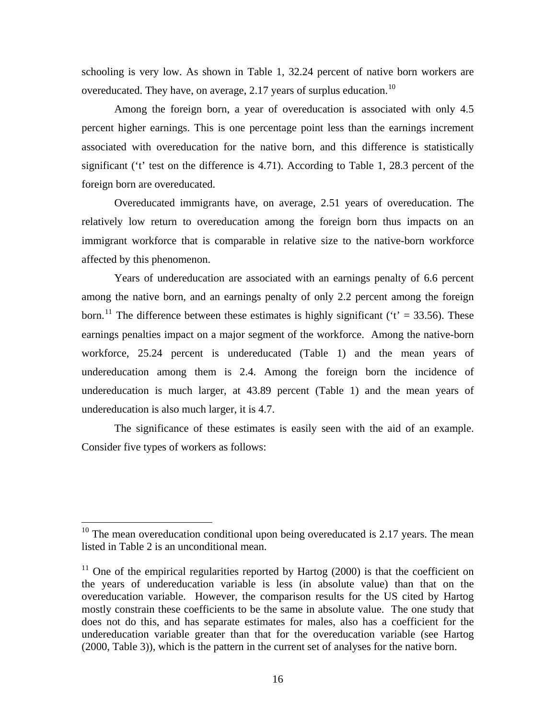<span id="page-16-0"></span>schooling is very low. As shown in Table 1, 32.24 percent of native born workers are overeducated. They have, on average, 2.17 years of surplus education.<sup>[10](#page-16-0)</sup>

 Among the foreign born, a year of overeducation is associated with only 4.5 percent higher earnings. This is one percentage point less than the earnings increment associated with overeducation for the native born, and this difference is statistically significant ('t' test on the difference is 4.71). According to Table 1, 28.3 percent of the foreign born are overeducated.

 Overeducated immigrants have, on average, 2.51 years of overeducation. The relatively low return to overeducation among the foreign born thus impacts on an immigrant workforce that is comparable in relative size to the native-born workforce affected by this phenomenon.

 Years of undereducation are associated with an earnings penalty of 6.6 percent among the native born, and an earnings penalty of only 2.2 percent among the foreign born.<sup>[11](#page-16-0)</sup> The difference between these estimates is highly significant ( $t' = 33.56$ ). These earnings penalties impact on a major segment of the workforce. Among the native-born workforce, 25.24 percent is undereducated (Table 1) and the mean years of undereducation among them is 2.4. Among the foreign born the incidence of undereducation is much larger, at 43.89 percent (Table 1) and the mean years of undereducation is also much larger, it is 4.7.

 The significance of these estimates is easily seen with the aid of an example. Consider five types of workers as follows:

 $10$  The mean overeducation conditional upon being overeducated is 2.17 years. The mean listed in Table 2 is an unconditional mean.

 $11$  One of the empirical regularities reported by Hartog (2000) is that the coefficient on the years of undereducation variable is less (in absolute value) than that on the overeducation variable. However, the comparison results for the US cited by Hartog mostly constrain these coefficients to be the same in absolute value. The one study that does not do this, and has separate estimates for males, also has a coefficient for the undereducation variable greater than that for the overeducation variable (see Hartog (2000, Table 3)), which is the pattern in the current set of analyses for the native born.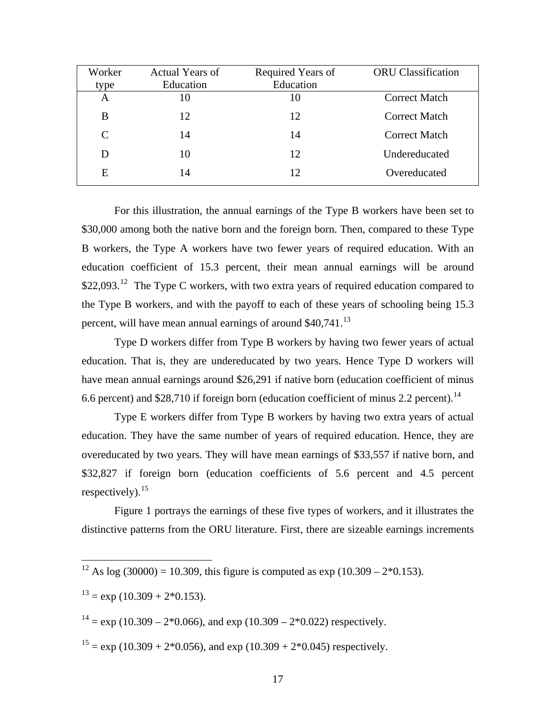<span id="page-17-0"></span>

| Worker | <b>Actual Years of</b> | Required Years of | <b>ORU</b> Classification |
|--------|------------------------|-------------------|---------------------------|
| type   | Education              | Education         |                           |
| A      | 10                     | 10                | <b>Correct Match</b>      |
| B      | 12                     | 12                | <b>Correct Match</b>      |
| C      | 14                     | 14                | <b>Correct Match</b>      |
|        | 10                     | 12                | Undereducated             |
| E      | 14                     | 12                | Overeducated              |

 For this illustration, the annual earnings of the Type B workers have been set to \$30,000 among both the native born and the foreign born. Then, compared to these Type B workers, the Type A workers have two fewer years of required education. With an education coefficient of 15.3 percent, their mean annual earnings will be around \$22,093.<sup>[12](#page-17-0)</sup> The Type C workers, with two extra years of required education compared to the Type B workers, and with the payoff to each of these years of schooling being 15.3 percent, will have mean annual earnings of around \$40,741.<sup>[13](#page-17-0)</sup>

 Type D workers differ from Type B workers by having two fewer years of actual education. That is, they are undereducated by two years. Hence Type D workers will have mean annual earnings around \$26,291 if native born (education coefficient of minus 6.6 percent) and \$28,710 if foreign born (education coefficient of minus 2.2 percent).<sup>[14](#page-17-0)</sup>

 Type E workers differ from Type B workers by having two extra years of actual education. They have the same number of years of required education. Hence, they are overeducated by two years. They will have mean earnings of \$33,557 if native born, and \$32,827 if foreign born (education coefficients of 5.6 percent and 4.5 percent respectively).  $15$ 

 Figure 1 portrays the earnings of these five types of workers, and it illustrates the distinctive patterns from the ORU literature. First, there are sizeable earnings increments

 $\overline{a}$ 

 $14 = \exp(10.309 - 2*0.066)$ , and  $\exp(10.309 - 2*0.022)$  respectively.

 $15 = \exp(10.309 + 2*0.056)$ , and  $\exp(10.309 + 2*0.045)$  respectively.

<sup>&</sup>lt;sup>12</sup> As log (30000) = 10.309, this figure is computed as exp (10.309 – 2 $*$ 0.153).

 $13 = exp(10.309 + 2*0.153)$ .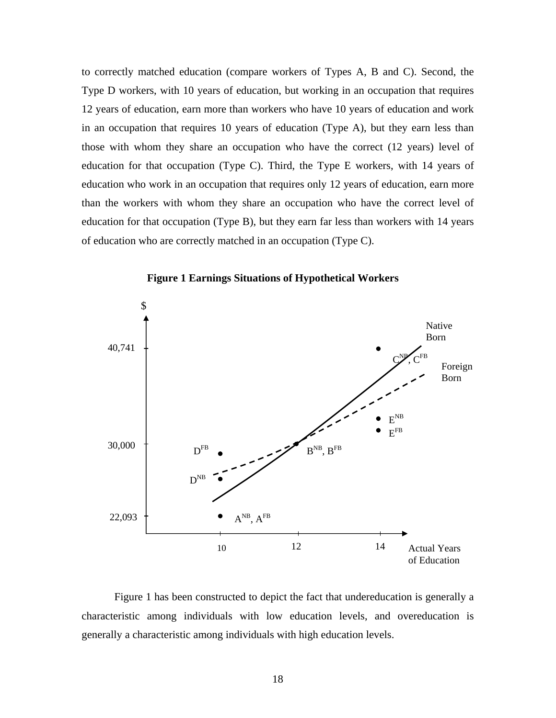to correctly matched education (compare workers of Types A, B and C). Second, the Type D workers, with 10 years of education, but working in an occupation that requires 12 years of education, earn more than workers who have 10 years of education and work in an occupation that requires 10 years of education (Type A), but they earn less than those with whom they share an occupation who have the correct (12 years) level of education for that occupation (Type C). Third, the Type E workers, with 14 years of education who work in an occupation that requires only 12 years of education, earn more than the workers with whom they share an occupation who have the correct level of education for that occupation (Type B), but they earn far less than workers with 14 years of education who are correctly matched in an occupation (Type C).



**Figure 1 Earnings Situations of Hypothetical Workers** 

 Figure 1 has been constructed to depict the fact that undereducation is generally a characteristic among individuals with low education levels, and overeducation is generally a characteristic among individuals with high education levels.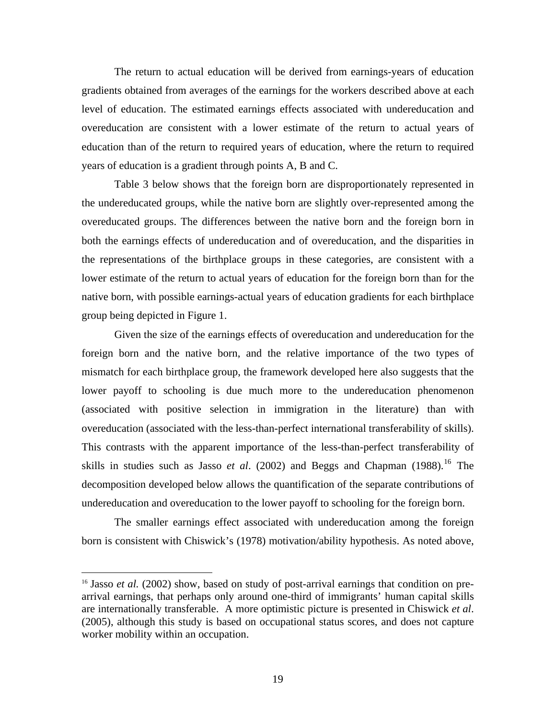<span id="page-19-0"></span>The return to actual education will be derived from earnings-years of education gradients obtained from averages of the earnings for the workers described above at each level of education. The estimated earnings effects associated with undereducation and overeducation are consistent with a lower estimate of the return to actual years of education than of the return to required years of education, where the return to required years of education is a gradient through points A, B and C.

Table 3 below shows that the foreign born are disproportionately represented in the undereducated groups, while the native born are slightly over-represented among the overeducated groups. The differences between the native born and the foreign born in both the earnings effects of undereducation and of overeducation, and the disparities in the representations of the birthplace groups in these categories, are consistent with a lower estimate of the return to actual years of education for the foreign born than for the native born, with possible earnings-actual years of education gradients for each birthplace group being depicted in Figure 1.

Given the size of the earnings effects of overeducation and undereducation for the foreign born and the native born, and the relative importance of the two types of mismatch for each birthplace group, the framework developed here also suggests that the lower payoff to schooling is due much more to the undereducation phenomenon (associated with positive selection in immigration in the literature) than with overeducation (associated with the less-than-perfect international transferability of skills). This contrasts with the apparent importance of the less-than-perfect transferability of skills in studies such as Jasso *et al.* (2002) and Beggs and Chapman (1988).<sup>[16](#page-19-0)</sup> The decomposition developed below allows the quantification of the separate contributions of undereducation and overeducation to the lower payoff to schooling for the foreign born.

The smaller earnings effect associated with undereducation among the foreign born is consistent with Chiswick's (1978) motivation/ability hypothesis. As noted above,

<sup>&</sup>lt;sup>16</sup> Jasso *et al.* (2002) show, based on study of post-arrival earnings that condition on prearrival earnings, that perhaps only around one-third of immigrants' human capital skills are internationally transferable. A more optimistic picture is presented in Chiswick *et al*. (2005), although this study is based on occupational status scores, and does not capture worker mobility within an occupation.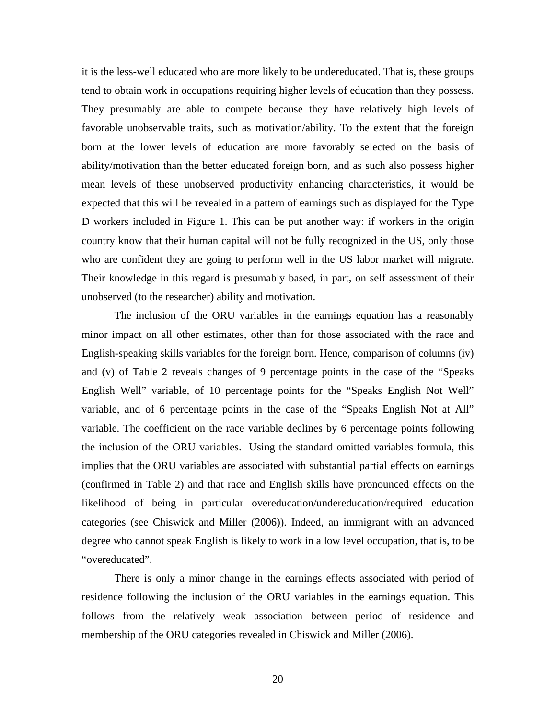it is the less-well educated who are more likely to be undereducated. That is, these groups tend to obtain work in occupations requiring higher levels of education than they possess. They presumably are able to compete because they have relatively high levels of favorable unobservable traits, such as motivation/ability. To the extent that the foreign born at the lower levels of education are more favorably selected on the basis of ability/motivation than the better educated foreign born, and as such also possess higher mean levels of these unobserved productivity enhancing characteristics, it would be expected that this will be revealed in a pattern of earnings such as displayed for the Type D workers included in Figure 1. This can be put another way: if workers in the origin country know that their human capital will not be fully recognized in the US, only those who are confident they are going to perform well in the US labor market will migrate. Their knowledge in this regard is presumably based, in part, on self assessment of their unobserved (to the researcher) ability and motivation.

 The inclusion of the ORU variables in the earnings equation has a reasonably minor impact on all other estimates, other than for those associated with the race and English-speaking skills variables for the foreign born. Hence, comparison of columns (iv) and (v) of Table 2 reveals changes of 9 percentage points in the case of the "Speaks English Well" variable, of 10 percentage points for the "Speaks English Not Well" variable, and of 6 percentage points in the case of the "Speaks English Not at All" variable. The coefficient on the race variable declines by 6 percentage points following the inclusion of the ORU variables. Using the standard omitted variables formula, this implies that the ORU variables are associated with substantial partial effects on earnings (confirmed in Table 2) and that race and English skills have pronounced effects on the likelihood of being in particular overeducation/undereducation/required education categories (see Chiswick and Miller (2006)). Indeed, an immigrant with an advanced degree who cannot speak English is likely to work in a low level occupation, that is, to be "overeducated".

 There is only a minor change in the earnings effects associated with period of residence following the inclusion of the ORU variables in the earnings equation. This follows from the relatively weak association between period of residence and membership of the ORU categories revealed in Chiswick and Miller (2006).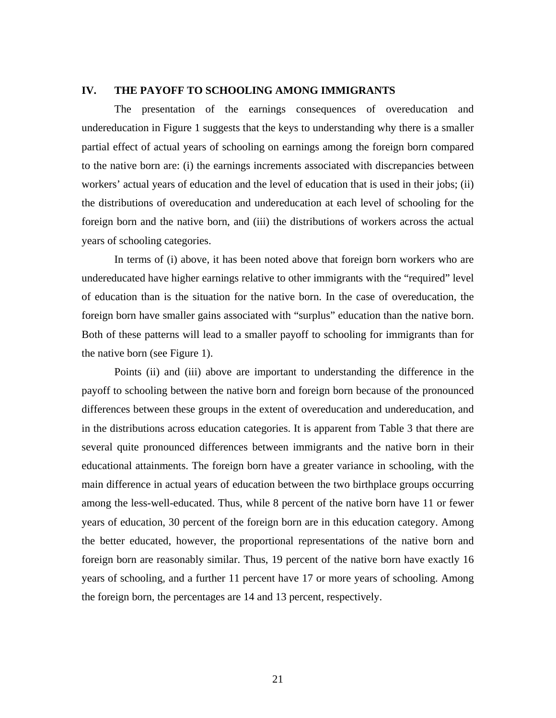## **IV. THE PAYOFF TO SCHOOLING AMONG IMMIGRANTS**

 The presentation of the earnings consequences of overeducation and undereducation in Figure 1 suggests that the keys to understanding why there is a smaller partial effect of actual years of schooling on earnings among the foreign born compared to the native born are: (i) the earnings increments associated with discrepancies between workers' actual years of education and the level of education that is used in their jobs; (ii) the distributions of overeducation and undereducation at each level of schooling for the foreign born and the native born, and (iii) the distributions of workers across the actual years of schooling categories.

 In terms of (i) above, it has been noted above that foreign born workers who are undereducated have higher earnings relative to other immigrants with the "required" level of education than is the situation for the native born. In the case of overeducation, the foreign born have smaller gains associated with "surplus" education than the native born. Both of these patterns will lead to a smaller payoff to schooling for immigrants than for the native born (see Figure 1).

 Points (ii) and (iii) above are important to understanding the difference in the payoff to schooling between the native born and foreign born because of the pronounced differences between these groups in the extent of overeducation and undereducation, and in the distributions across education categories. It is apparent from Table 3 that there are several quite pronounced differences between immigrants and the native born in their educational attainments. The foreign born have a greater variance in schooling, with the main difference in actual years of education between the two birthplace groups occurring among the less-well-educated. Thus, while 8 percent of the native born have 11 or fewer years of education, 30 percent of the foreign born are in this education category. Among the better educated, however, the proportional representations of the native born and foreign born are reasonably similar. Thus, 19 percent of the native born have exactly 16 years of schooling, and a further 11 percent have 17 or more years of schooling. Among the foreign born, the percentages are 14 and 13 percent, respectively.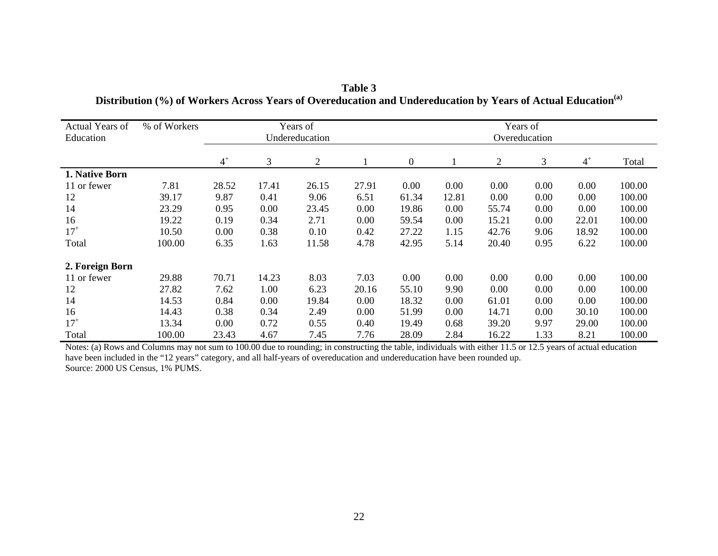| Actual Years of<br>Education | % of Workers |       |       | Years of<br>Undereducation |       |                  |       |                | Years of<br>Overeducation |       |        |
|------------------------------|--------------|-------|-------|----------------------------|-------|------------------|-------|----------------|---------------------------|-------|--------|
|                              |              | $4^+$ | 3     | $\mathbf{2}$               |       | $\boldsymbol{0}$ |       | $\overline{2}$ | 3                         | $4^+$ | Total  |
| 1. Native Born               |              |       |       |                            |       |                  |       |                |                           |       |        |
| 11 or fewer                  | 7.81         | 28.52 | 17.41 | 26.15                      | 27.91 | 0.00             | 0.00  | 0.00           | 0.00                      | 0.00  | 100.00 |
| 12                           | 39.17        | 9.87  | 0.41  | 9.06                       | 6.51  | 61.34            | 12.81 | 0.00           | 0.00                      | 0.00  | 100.00 |
| 14                           | 23.29        | 0.95  | 0.00  | 23.45                      | 0.00  | 19.86            | 0.00  | 55.74          | 0.00                      | 0.00  | 100.00 |
| 16                           | 19.22        | 0.19  | 0.34  | 2.71                       | 0.00  | 59.54            | 0.00  | 15.21          | 0.00                      | 22.01 | 100.00 |
| $17^{+}$                     | 10.50        | 0.00  | 0.38  | 0.10                       | 0.42  | 27.22            | 1.15  | 42.76          | 9.06                      | 18.92 | 100.00 |
| Total                        | 100.00       | 6.35  | 1.63  | 11.58                      | 4.78  | 42.95            | 5.14  | 20.40          | 0.95                      | 6.22  | 100.00 |
| 2. Foreign Born              |              |       |       |                            |       |                  |       |                |                           |       |        |
| 11 or fewer                  | 29.88        | 70.71 | 14.23 | 8.03                       | 7.03  | 0.00             | 0.00  | 0.00           | 0.00                      | 0.00  | 100.00 |
| 12                           | 27.82        | 7.62  | 1.00  | 6.23                       | 20.16 | 55.10            | 9.90  | 0.00           | 0.00                      | 0.00  | 100.00 |
| 14                           | 14.53        | 0.84  | 0.00  | 19.84                      | 0.00  | 18.32            | 0.00  | 61.01          | 0.00                      | 0.00  | 100.00 |
| 16                           | 14.43        | 0.38  | 0.34  | 2.49                       | 0.00  | 51.99            | 0.00  | 14.71          | 0.00                      | 30.10 | 100.00 |
| $17^{+}$                     | 13.34        | 0.00  | 0.72  | 0.55                       | 0.40  | 19.49            | 0.68  | 39.20          | 9.97                      | 29.00 | 100.00 |
| Total                        | 100.00       | 23.43 | 4.67  | 7.45                       | 7.76  | 28.09            | 2.84  | 16.22          | 1.33                      | 8.21  | 100.00 |

| Table 3                                                                                                                  |
|--------------------------------------------------------------------------------------------------------------------------|
| Distribution (%) of Workers Across Years of Overeducation and Undereducation by Years of Actual Education <sup>(a)</sup> |

Notes: (a) Rows and Columns may not sum to 100.00 due to rounding; in constructing the table, individuals with either 11.5 or 12.5 years of actual education have been included in the "12 years" category, and all half-years of overeducation and undereducation have been rounded up. Source: 2000 US Census, 1% PUMS.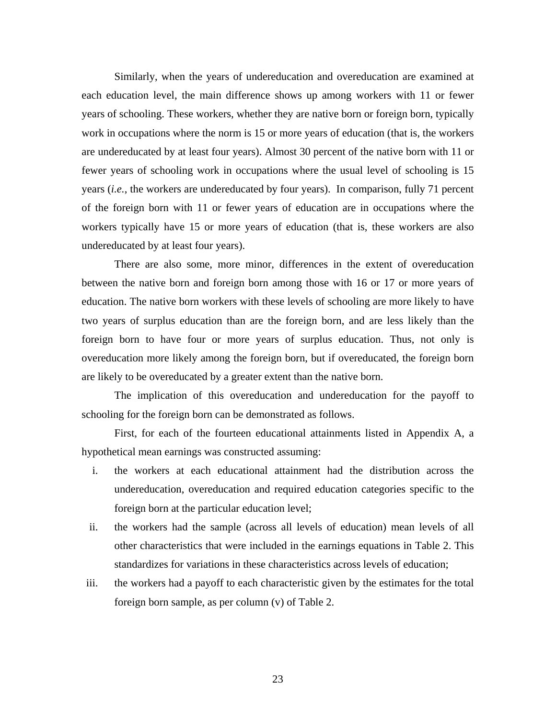Similarly, when the years of undereducation and overeducation are examined at each education level, the main difference shows up among workers with 11 or fewer years of schooling. These workers, whether they are native born or foreign born, typically work in occupations where the norm is 15 or more years of education (that is, the workers are undereducated by at least four years). Almost 30 percent of the native born with 11 or fewer years of schooling work in occupations where the usual level of schooling is 15 years (*i.e.*, the workers are undereducated by four years). In comparison, fully 71 percent of the foreign born with 11 or fewer years of education are in occupations where the workers typically have 15 or more years of education (that is, these workers are also undereducated by at least four years).

 There are also some, more minor, differences in the extent of overeducation between the native born and foreign born among those with 16 or 17 or more years of education. The native born workers with these levels of schooling are more likely to have two years of surplus education than are the foreign born, and are less likely than the foreign born to have four or more years of surplus education. Thus, not only is overeducation more likely among the foreign born, but if overeducated, the foreign born are likely to be overeducated by a greater extent than the native born.

 The implication of this overeducation and undereducation for the payoff to schooling for the foreign born can be demonstrated as follows.

 First, for each of the fourteen educational attainments listed in Appendix A, a hypothetical mean earnings was constructed assuming:

- i. the workers at each educational attainment had the distribution across the undereducation, overeducation and required education categories specific to the foreign born at the particular education level;
- ii. the workers had the sample (across all levels of education) mean levels of all other characteristics that were included in the earnings equations in Table 2. This standardizes for variations in these characteristics across levels of education;
- iii. the workers had a payoff to each characteristic given by the estimates for the total foreign born sample, as per column (v) of Table 2.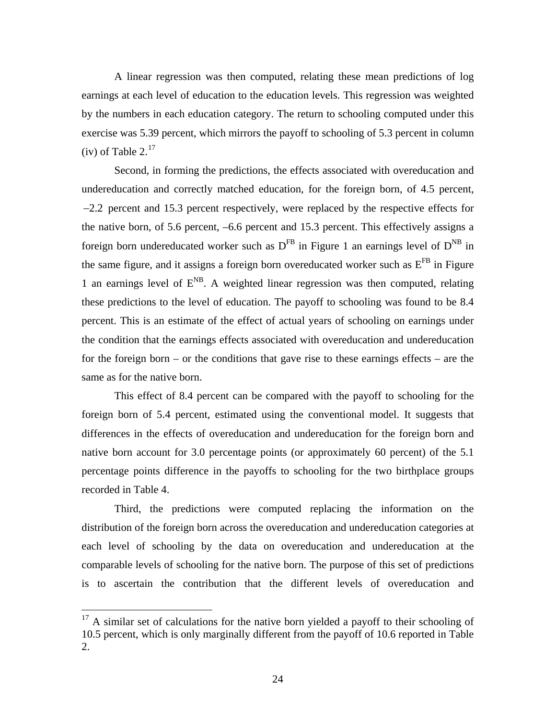<span id="page-24-0"></span> A linear regression was then computed, relating these mean predictions of log earnings at each level of education to the education levels. This regression was weighted by the numbers in each education category. The return to schooling computed under this exercise was 5.39 percent, which mirrors the payoff to schooling of 5.3 percent in column (iv) of Table  $2.^{17}$  $2.^{17}$  $2.^{17}$ 

 Second, in forming the predictions, the effects associated with overeducation and undereducation and correctly matched education, for the foreign born, of 4.5 percent, -2.2 percent and 15.3 percent respectively, were replaced by the respective effects for the native born, of 5.6 percent, –6.6 percent and 15.3 percent. This effectively assigns a foreign born undereducated worker such as  $D^{FB}$  in Figure 1 an earnings level of  $D^{NB}$  in the same figure, and it assigns a foreign born overeducated worker such as  $E<sup>FB</sup>$  in Figure 1 an earnings level of  $E^{NB}$ . A weighted linear regression was then computed, relating these predictions to the level of education. The payoff to schooling was found to be 8.4 percent. This is an estimate of the effect of actual years of schooling on earnings under the condition that the earnings effects associated with overeducation and undereducation for the foreign born – or the conditions that gave rise to these earnings effects – are the same as for the native born.

 This effect of 8.4 percent can be compared with the payoff to schooling for the foreign born of 5.4 percent, estimated using the conventional model. It suggests that differences in the effects of overeducation and undereducation for the foreign born and native born account for 3.0 percentage points (or approximately 60 percent) of the 5.1 percentage points difference in the payoffs to schooling for the two birthplace groups recorded in Table 4.

 Third, the predictions were computed replacing the information on the distribution of the foreign born across the overeducation and undereducation categories at each level of schooling by the data on overeducation and undereducation at the comparable levels of schooling for the native born. The purpose of this set of predictions is to ascertain the contribution that the different levels of overeducation and

 $17$  A similar set of calculations for the native born yielded a payoff to their schooling of 10.5 percent, which is only marginally different from the payoff of 10.6 reported in Table 2.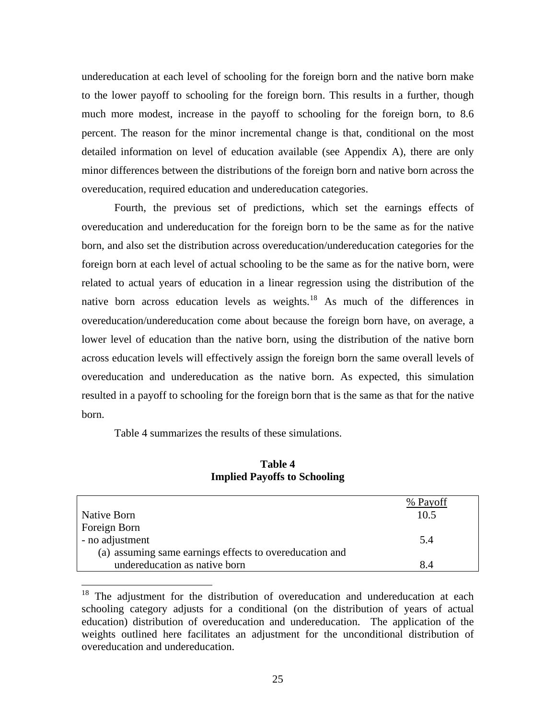<span id="page-25-0"></span>undereducation at each level of schooling for the foreign born and the native born make to the lower payoff to schooling for the foreign born. This results in a further, though much more modest, increase in the payoff to schooling for the foreign born, to 8.6 percent. The reason for the minor incremental change is that, conditional on the most detailed information on level of education available (see Appendix A), there are only minor differences between the distributions of the foreign born and native born across the overeducation, required education and undereducation categories.

 Fourth, the previous set of predictions, which set the earnings effects of overeducation and undereducation for the foreign born to be the same as for the native born, and also set the distribution across overeducation/undereducation categories for the foreign born at each level of actual schooling to be the same as for the native born, were related to actual years of education in a linear regression using the distribution of the native born across education levels as weights.<sup>18</sup> As much of the differences in overeducation/undereducation come about because the foreign born have, on average, a lower level of education than the native born, using the distribution of the native born across education levels will effectively assign the foreign born the same overall levels of overeducation and undereducation as the native born. As expected, this simulation resulted in a payoff to schooling for the foreign born that is the same as that for the native born.

Table 4 summarizes the results of these simulations.

 $\overline{a}$ 

|                                                         | % Payoff |
|---------------------------------------------------------|----------|
| Native Born                                             | 10.5     |
| Foreign Born                                            |          |
| - no adjustment                                         | 5.4      |
| (a) assuming same earnings effects to overeducation and |          |
| undereducation as native born                           | 8.4      |

## **Table 4 Implied Payoffs to Schooling**

<sup>&</sup>lt;sup>18</sup> The adjustment for the distribution of overeducation and undereducation at each schooling category adjusts for a conditional (on the distribution of years of actual education) distribution of overeducation and undereducation. The application of the weights outlined here facilitates an adjustment for the unconditional distribution of overeducation and undereducation.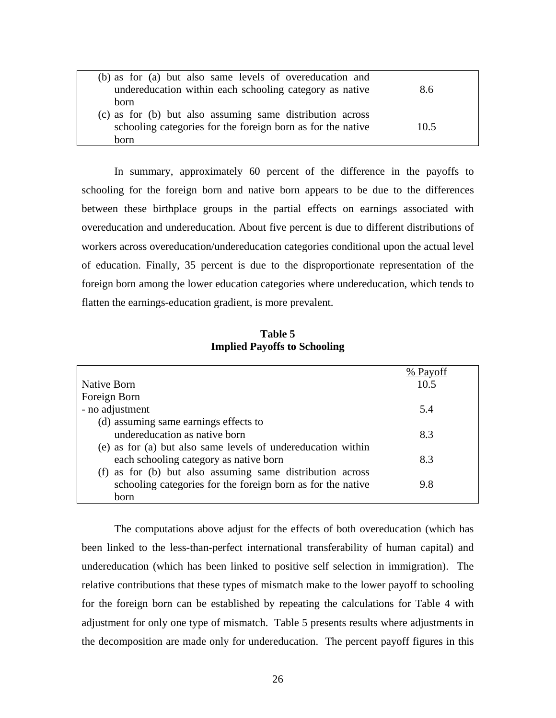| (b) as for (a) but also same levels of overeducation and    |      |  |
|-------------------------------------------------------------|------|--|
| undereducation within each schooling category as native     | 8.6  |  |
| born                                                        |      |  |
| (c) as for (b) but also assuming same distribution across   |      |  |
| schooling categories for the foreign born as for the native | 10.5 |  |
| born                                                        |      |  |

 In summary, approximately 60 percent of the difference in the payoffs to schooling for the foreign born and native born appears to be due to the differences between these birthplace groups in the partial effects on earnings associated with overeducation and undereducation. About five percent is due to different distributions of workers across overeducation/undereducation categories conditional upon the actual level of education. Finally, 35 percent is due to the disproportionate representation of the foreign born among the lower education categories where undereducation, which tends to flatten the earnings-education gradient, is more prevalent.

# **Table 5 Implied Payoffs to Schooling**

|                                                              | % Payoff |
|--------------------------------------------------------------|----------|
| Native Born                                                  | 10.5     |
| Foreign Born                                                 |          |
| - no adjustment                                              | 5.4      |
| (d) assuming same earnings effects to                        |          |
| undereducation as native born                                | 8.3      |
| (e) as for (a) but also same levels of undereducation within |          |
| each schooling category as native born                       | 8.3      |
| (f) as for (b) but also assuming same distribution across    |          |
| schooling categories for the foreign born as for the native  | 9.8      |
| <b>born</b>                                                  |          |

The computations above adjust for the effects of both overeducation (which has been linked to the less-than-perfect international transferability of human capital) and undereducation (which has been linked to positive self selection in immigration). The relative contributions that these types of mismatch make to the lower payoff to schooling for the foreign born can be established by repeating the calculations for Table 4 with adjustment for only one type of mismatch. Table 5 presents results where adjustments in the decomposition are made only for undereducation. The percent payoff figures in this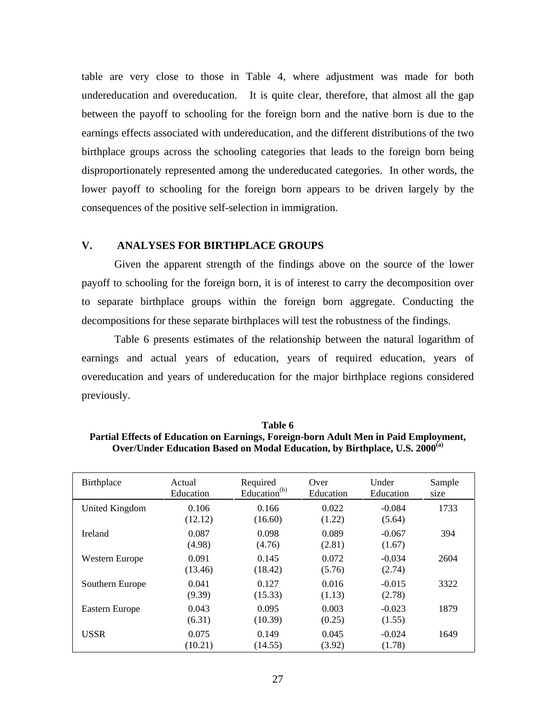table are very close to those in Table 4, where adjustment was made for both undereducation and overeducation. It is quite clear, therefore, that almost all the gap between the payoff to schooling for the foreign born and the native born is due to the earnings effects associated with undereducation, and the different distributions of the two birthplace groups across the schooling categories that leads to the foreign born being disproportionately represented among the undereducated categories. In other words, the lower payoff to schooling for the foreign born appears to be driven largely by the consequences of the positive self-selection in immigration.

## **V. ANALYSES FOR BIRTHPLACE GROUPS**

 Given the apparent strength of the findings above on the source of the lower payoff to schooling for the foreign born, it is of interest to carry the decomposition over to separate birthplace groups within the foreign born aggregate. Conducting the decompositions for these separate birthplaces will test the robustness of the findings.

 Table 6 presents estimates of the relationship between the natural logarithm of earnings and actual years of education, years of required education, years of overeducation and years of undereducation for the major birthplace regions considered previously.

| Birthplace      | Actual<br>Education | Required<br>Education <sup>(b)</sup> | Over<br>Education | Under<br>Education | Sample<br>size |
|-----------------|---------------------|--------------------------------------|-------------------|--------------------|----------------|
| United Kingdom  | 0.106<br>(12.12)    | 0.166<br>(16.60)                     | 0.022<br>(1.22)   | $-0.084$<br>(5.64) | 1733           |
| Ireland         | 0.087<br>(4.98)     | 0.098<br>(4.76)                      | 0.089<br>(2.81)   | $-0.067$<br>(1.67) | 394            |
| Western Europe  | 0.091<br>(13.46)    | 0.145<br>(18.42)                     | 0.072<br>(5.76)   | $-0.034$<br>(2.74) | 2604           |
| Southern Europe | 0.041<br>(9.39)     | 0.127<br>(15.33)                     | 0.016<br>(1.13)   | $-0.015$<br>(2.78) | 3322           |
| Eastern Europe  | 0.043<br>(6.31)     | 0.095<br>(10.39)                     | 0.003<br>(0.25)   | $-0.023$<br>(1.55) | 1879           |
| <b>USSR</b>     | 0.075<br>(10.21)    | 0.149<br>(14.55)                     | 0.045<br>(3.92)   | $-0.024$<br>(1.78) | 1649           |

**Table 6 Partial Effects of Education on Earnings, Foreign-born Adult Men in Paid Employment, Over/Under Education Based on Modal Education, by Birthplace, U.S. 2000(a)**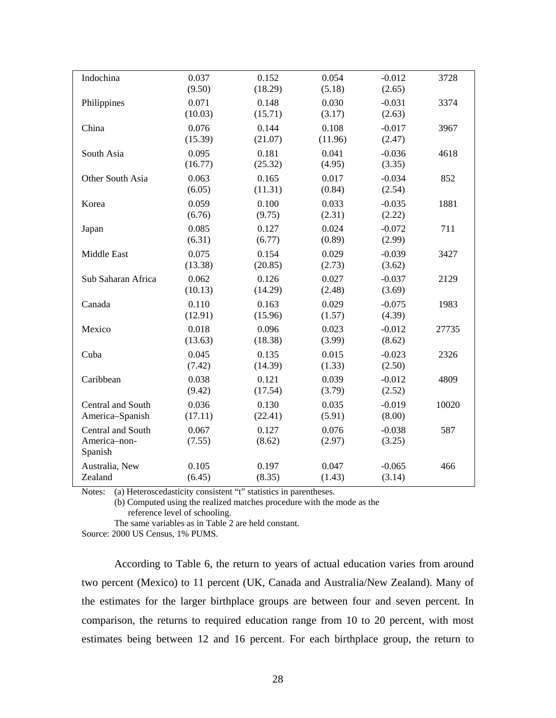| Indochina                                    | 0.037            | 0.152            | 0.054           | $-0.012$           | 3728  |
|----------------------------------------------|------------------|------------------|-----------------|--------------------|-------|
| Philippines                                  | (9.50)<br>0.071  | (18.29)<br>0.148 | (5.18)<br>0.030 | (2.65)<br>$-0.031$ | 3374  |
| China                                        | (10.03)<br>0.076 | (15.71)<br>0.144 | (3.17)<br>0.108 | (2.63)<br>$-0.017$ | 3967  |
|                                              | (15.39)          | (21.07)          | (11.96)         | (2.47)             |       |
| South Asia                                   | 0.095<br>(16.77) | 0.181<br>(25.32) | 0.041<br>(4.95) | $-0.036$<br>(3.35) | 4618  |
| Other South Asia                             | 0.063<br>(6.05)  | 0.165<br>(11.31) | 0.017<br>(0.84) | $-0.034$<br>(2.54) | 852   |
| Korea                                        | 0.059<br>(6.76)  | 0.100<br>(9.75)  | 0.033<br>(2.31) | $-0.035$<br>(2.22) | 1881  |
| Japan                                        | 0.085<br>(6.31)  | 0.127<br>(6.77)  | 0.024<br>(0.89) | $-0.072$<br>(2.99) | 711   |
| Middle East                                  | 0.075<br>(13.38) | 0.154<br>(20.85) | 0.029<br>(2.73) | $-0.039$<br>(3.62) | 3427  |
| Sub Saharan Africa                           | 0.062<br>(10.13) | 0.126<br>(14.29) | 0.027<br>(2.48) | $-0.037$<br>(3.69) | 2129  |
| Canada                                       | 0.110<br>(12.91) | 0.163<br>(15.96) | 0.029<br>(1.57) | $-0.075$<br>(4.39) | 1983  |
| Mexico                                       | 0.018<br>(13.63) | 0.096<br>(18.38) | 0.023<br>(3.99) | $-0.012$<br>(8.62) | 27735 |
| Cuba                                         | 0.045<br>(7.42)  | 0.135<br>(14.39) | 0.015<br>(1.33) | $-0.023$<br>(2.50) | 2326  |
| Caribbean                                    | 0.038<br>(9.42)  | 0.121<br>(17.54) | 0.039<br>(3.79) | $-0.012$<br>(2.52) | 4809  |
| Central and South<br>America-Spanish         | 0.036<br>(17.11) | 0.130<br>(22.41) | 0.035<br>(5.91) | $-0.019$<br>(8.00) | 10020 |
| Central and South<br>America-non-<br>Spanish | 0.067<br>(7.55)  | 0.127<br>(8.62)  | 0.076<br>(2.97) | $-0.038$<br>(3.25) | 587   |
| Australia, New<br>Zealand                    | 0.105<br>(6.45)  | 0.197<br>(8.35)  | 0.047<br>(1.43) | $-0.065$<br>(3.14) | 466   |

Notes: (a) Heteroscedasticity consistent "t" statistics in parentheses.

(b) Computed using the realized matches procedure with the mode as the reference level of schooling.

The same variables as in Table 2 are held constant.

Source: 2000 US Census, 1% PUMS.

 According to Table 6, the return to years of actual education varies from around two percent (Mexico) to 11 percent (UK, Canada and Australia/New Zealand). Many of the estimates for the larger birthplace groups are between four and seven percent. In comparison, the returns to required education range from 10 to 20 percent, with most estimates being between 12 and 16 percent. For each birthplace group, the return to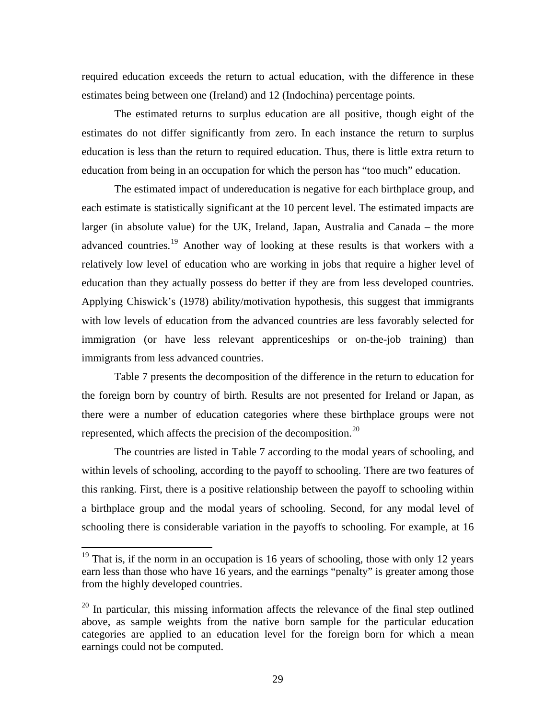<span id="page-29-0"></span>required education exceeds the return to actual education, with the difference in these estimates being between one (Ireland) and 12 (Indochina) percentage points.

 The estimated returns to surplus education are all positive, though eight of the estimates do not differ significantly from zero. In each instance the return to surplus education is less than the return to required education. Thus, there is little extra return to education from being in an occupation for which the person has "too much" education.

 The estimated impact of undereducation is negative for each birthplace group, and each estimate is statistically significant at the 10 percent level. The estimated impacts are larger (in absolute value) for the UK, Ireland, Japan, Australia and Canada – the more advanced countries.<sup>[19](#page-29-0)</sup> Another way of looking at these results is that workers with a relatively low level of education who are working in jobs that require a higher level of education than they actually possess do better if they are from less developed countries. Applying Chiswick's (1978) ability/motivation hypothesis, this suggest that immigrants with low levels of education from the advanced countries are less favorably selected for immigration (or have less relevant apprenticeships or on-the-job training) than immigrants from less advanced countries.

Table 7 presents the decomposition of the difference in the return to education for the foreign born by country of birth. Results are not presented for Ireland or Japan, as there were a number of education categories where these birthplace groups were not represented, which affects the precision of the decomposition.<sup>[20](#page-29-0)</sup>

 The countries are listed in Table 7 according to the modal years of schooling, and within levels of schooling, according to the payoff to schooling. There are two features of this ranking. First, there is a positive relationship between the payoff to schooling within a birthplace group and the modal years of schooling. Second, for any modal level of schooling there is considerable variation in the payoffs to schooling. For example, at 16

 $19$  That is, if the norm in an occupation is 16 years of schooling, those with only 12 years earn less than those who have 16 years, and the earnings "penalty" is greater among those from the highly developed countries.

<sup>&</sup>lt;sup>20</sup> In particular, this missing information affects the relevance of the final step outlined above, as sample weights from the native born sample for the particular education categories are applied to an education level for the foreign born for which a mean earnings could not be computed.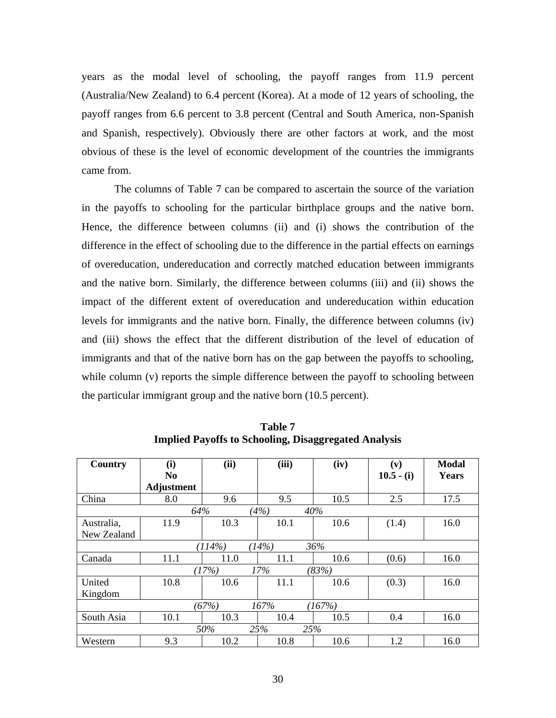years as the modal level of schooling, the payoff ranges from 11.9 percent (Australia/New Zealand) to 6.4 percent (Korea). At a mode of 12 years of schooling, the payoff ranges from 6.6 percent to 3.8 percent (Central and South America, non-Spanish and Spanish, respectively). Obviously there are other factors at work, and the most obvious of these is the level of economic development of the countries the immigrants came from.

 The columns of Table 7 can be compared to ascertain the source of the variation in the payoffs to schooling for the particular birthplace groups and the native born. Hence, the difference between columns (ii) and (i) shows the contribution of the difference in the effect of schooling due to the difference in the partial effects on earnings of overeducation, undereducation and correctly matched education between immigrants and the native born. Similarly, the difference between columns (iii) and (ii) shows the impact of the different extent of overeducation and undereducation within education levels for immigrants and the native born. Finally, the difference between columns (iv) and (iii) shows the effect that the different distribution of the level of education of immigrants and that of the native born has on the gap between the payoffs to schooling, while column (v) reports the simple difference between the payoff to schooling between the particular immigrant group and the native born (10.5 percent).

| Country                 | (i)<br>N <sub>0</sub> | (ii) | (iii) | (iv) | (v)<br>$10.5 - (i)$ | <b>Modal</b><br>Years |  |  |
|-------------------------|-----------------------|------|-------|------|---------------------|-----------------------|--|--|
| China                   | Adjustment<br>8.0     | 9.6  | 9.5   | 10.5 | 2.5                 | 17.5                  |  |  |
| 64%<br>(4%)<br>40%      |                       |      |       |      |                     |                       |  |  |
| Australia,              | 11.9                  | 10.3 | 10.1  | 10.6 | (1.4)               | 16.0                  |  |  |
| New Zealand             |                       |      |       |      |                     |                       |  |  |
| (14%)<br>36%<br>(114%)  |                       |      |       |      |                     |                       |  |  |
| Canada                  | 11.1                  | 11.0 | 11.1  | 10.6 | (0.6)               | 16.0                  |  |  |
| 17%<br>(17%)<br>(83%)   |                       |      |       |      |                     |                       |  |  |
| United                  | 10.8                  | 10.6 | 11.1  | 10.6 | (0.3)               | 16.0                  |  |  |
| Kingdom                 |                       |      |       |      |                     |                       |  |  |
| (67%)<br>167%<br>(167%) |                       |      |       |      |                     |                       |  |  |
| South Asia              | 10.1                  | 10.3 | 10.4  | 10.5 | 0.4                 | 16.0                  |  |  |
| 50%<br>25%<br>25%       |                       |      |       |      |                     |                       |  |  |
| Western                 | 9.3                   | 10.2 | 10.8  | 10.6 | 1.2                 | 16.0                  |  |  |

**Table 7 Implied Payoffs to Schooling, Disaggregated Analysis**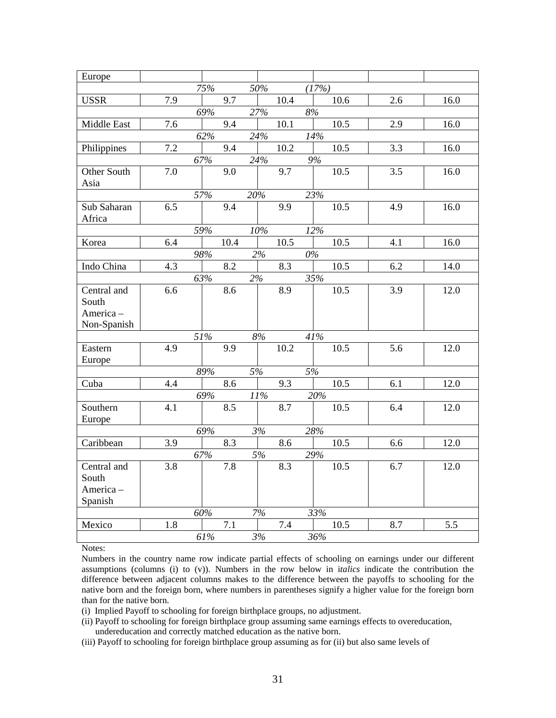| Europe                |     |     |      |      |       |      |     |      |
|-----------------------|-----|-----|------|------|-------|------|-----|------|
|                       |     | 75% | 50%  |      | (17%) |      |     |      |
| <b>USSR</b>           | 7.9 |     | 9.7  | 10.4 |       | 10.6 | 2.6 | 16.0 |
|                       |     | 69% | 27%  |      | 8%    |      |     |      |
| Middle East           | 7.6 |     | 9.4  | 10.1 |       | 10.5 | 2.9 | 16.0 |
|                       |     | 62% | 24%  |      | 14%   |      |     |      |
| Philippines           | 7.2 |     | 9.4  | 10.2 |       | 10.5 | 3.3 | 16.0 |
|                       |     | 67% | 24%  |      | 9%    |      |     |      |
| Other South           | 7.0 |     | 9.0  | 9.7  |       | 10.5 | 3.5 | 16.0 |
| Asia                  |     |     |      |      |       |      |     |      |
|                       |     | 57% | 20%  |      | 23%   |      |     |      |
| Sub Saharan<br>Africa | 6.5 |     | 9.4  | 9.9  |       | 10.5 | 4.9 | 16.0 |
|                       |     | 59% | 10%  |      | 12%   |      |     |      |
| Korea                 | 6.4 |     | 10.4 | 10.5 |       | 10.5 | 4.1 | 16.0 |
|                       |     | 98% |      | 2%   | $0\%$ |      |     |      |
| Indo China            | 4.3 |     | 8.2  | 8.3  |       | 10.5 | 6.2 | 14.0 |
|                       |     | 63% | 2%   |      | 35%   |      |     |      |
| Central and           | 6.6 |     | 8.6  | 8.9  |       | 10.5 | 3.9 | 12.0 |
| South                 |     |     |      |      |       |      |     |      |
| America-              |     |     |      |      |       |      |     |      |
| Non-Spanish           |     |     |      |      |       |      |     |      |
|                       |     | 51% | 8%   |      | 41%   |      |     |      |
| Eastern               | 4.9 |     | 9.9  | 10.2 |       | 10.5 | 5.6 | 12.0 |
| Europe                |     |     |      |      |       |      |     |      |
|                       |     | 89% | 5%   |      | 5%    |      |     |      |
| Cuba                  | 4.4 |     | 8.6  | 9.3  |       | 10.5 | 6.1 | 12.0 |
|                       |     | 69% | 11%  |      | 20%   |      |     |      |
| Southern              | 4.1 |     | 8.5  | 8.7  |       | 10.5 | 6.4 | 12.0 |
| Europe                |     |     |      |      |       |      |     |      |
|                       |     | 69% | 3%   |      | 28%   |      |     |      |
| Caribbean             | 3.9 |     | 8.3  | 8.6  |       | 10.5 | 6.6 | 12.0 |
|                       |     | 67% | 5%   |      | 29%   |      |     |      |
| Central and           | 3.8 |     | 7.8  | 8.3  |       | 10.5 | 6.7 | 12.0 |
| South                 |     |     |      |      |       |      |     |      |
| America-              |     |     |      |      |       |      |     |      |
| Spanish               |     |     |      |      |       |      |     |      |
|                       |     | 60% | 7%   |      | 33%   |      |     |      |
| Mexico                | 1.8 |     | 7.1  | 7.4  |       | 10.5 | 8.7 | 5.5  |
|                       |     | 61% | 3%   |      | 36%   |      |     |      |

Notes:

Numbers in the country name row indicate partial effects of schooling on earnings under our different assumptions (columns (i) to (v)). Numbers in the row below in i*talics* indicate the contribution the difference between adjacent columns makes to the difference between the payoffs to schooling for the native born and the foreign born, where numbers in parentheses signify a higher value for the foreign born than for the native born.

(i) Implied Payoff to schooling for foreign birthplace groups, no adjustment.

- (ii) Payoff to schooling for foreign birthplace group assuming same earnings effects to overeducation, undereducation and correctly matched education as the native born.
- (iii) Payoff to schooling for foreign birthplace group assuming as for (ii) but also same levels of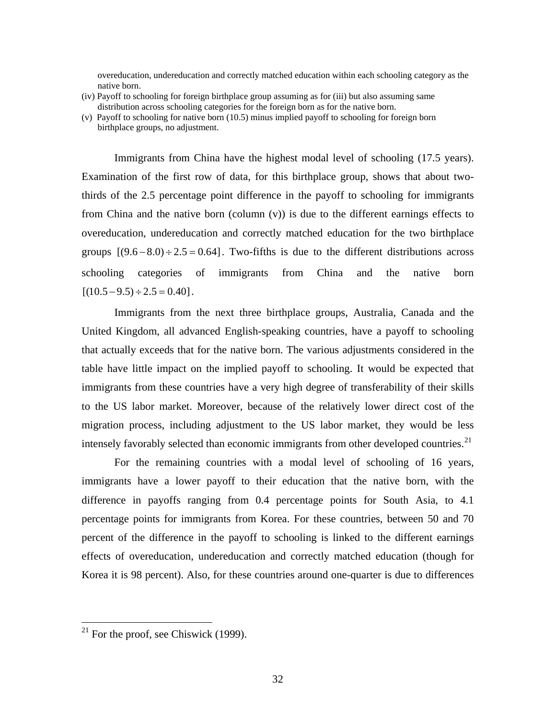<span id="page-32-0"></span> overeducation, undereducation and correctly matched education within each schooling category as the native born.

- (iv) Payoff to schooling for foreign birthplace group assuming as for (iii) but also assuming same distribution across schooling categories for the foreign born as for the native born.
- (v) Payoff to schooling for native born (10.5) minus implied payoff to schooling for foreign born birthplace groups, no adjustment.

 Immigrants from China have the highest modal level of schooling (17.5 years). Examination of the first row of data, for this birthplace group, shows that about twothirds of the 2.5 percentage point difference in the payoff to schooling for immigrants from China and the native born (column (v)) is due to the different earnings effects to overeducation, undereducation and correctly matched education for the two birthplace groups  $[(9.6 - 8.0) \div 2.5 = 0.64]$ . Two-fifths is due to the different distributions across schooling categories of immigrants from China and the native born  $[(10.5 - 9.5) \div 2.5 = 0.40]$ .

 Immigrants from the next three birthplace groups, Australia, Canada and the United Kingdom, all advanced English-speaking countries, have a payoff to schooling that actually exceeds that for the native born. The various adjustments considered in the table have little impact on the implied payoff to schooling. It would be expected that immigrants from these countries have a very high degree of transferability of their skills to the US labor market. Moreover, because of the relatively lower direct cost of the migration process, including adjustment to the US labor market, they would be less intensely favorably selected than economic immigrants from other developed countries.<sup>[21](#page-32-0)</sup>

 For the remaining countries with a modal level of schooling of 16 years, immigrants have a lower payoff to their education that the native born, with the difference in payoffs ranging from 0.4 percentage points for South Asia, to 4.1 percentage points for immigrants from Korea. For these countries, between 50 and 70 percent of the difference in the payoff to schooling is linked to the different earnings effects of overeducation, undereducation and correctly matched education (though for Korea it is 98 percent). Also, for these countries around one-quarter is due to differences

 $21$  For the proof, see Chiswick (1999).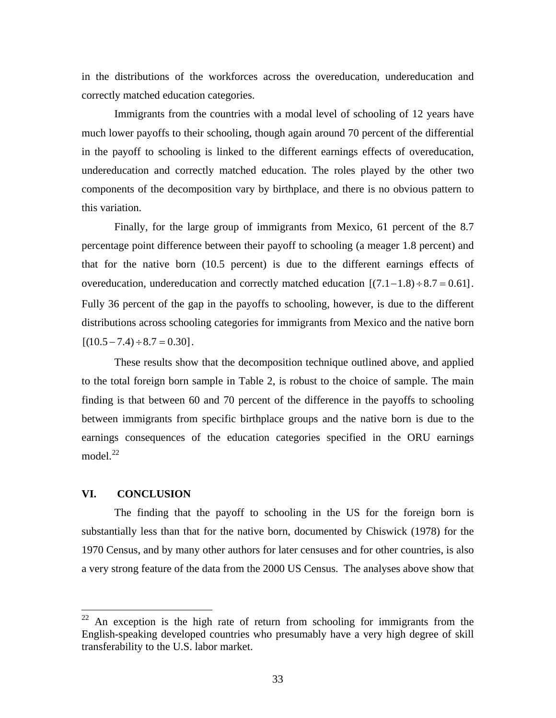<span id="page-33-0"></span>in the distributions of the workforces across the overeducation, undereducation and correctly matched education categories.

 Immigrants from the countries with a modal level of schooling of 12 years have much lower payoffs to their schooling, though again around 70 percent of the differential in the payoff to schooling is linked to the different earnings effects of overeducation, undereducation and correctly matched education. The roles played by the other two components of the decomposition vary by birthplace, and there is no obvious pattern to this variation.

 Finally, for the large group of immigrants from Mexico, 61 percent of the 8.7 percentage point difference between their payoff to schooling (a meager 1.8 percent) and that for the native born (10.5 percent) is due to the different earnings effects of overeducation, undereducation and correctly matched education  $[(7.1-1.8) \div 8.7 = 0.61]$ . Fully 36 percent of the gap in the payoffs to schooling, however, is due to the different distributions across schooling categories for immigrants from Mexico and the native born  $[(10.5 - 7.4) \div 8.7 = 0.30]$ .

 These results show that the decomposition technique outlined above, and applied to the total foreign born sample in Table 2, is robust to the choice of sample. The main finding is that between 60 and 70 percent of the difference in the payoffs to schooling between immigrants from specific birthplace groups and the native born is due to the earnings consequences of the education categories specified in the ORU earnings model. $^{22}$  $^{22}$  $^{22}$ 

## **VI. CONCLUSION**

 $\overline{a}$ 

 The finding that the payoff to schooling in the US for the foreign born is substantially less than that for the native born, documented by Chiswick (1978) for the 1970 Census, and by many other authors for later censuses and for other countries, is also a very strong feature of the data from the 2000 US Census. The analyses above show that

 $22$  An exception is the high rate of return from schooling for immigrants from the English-speaking developed countries who presumably have a very high degree of skill transferability to the U.S. labor market.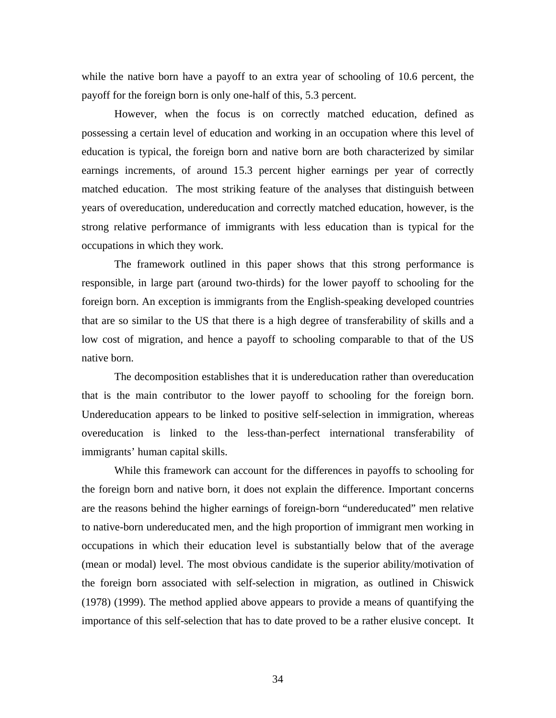while the native born have a payoff to an extra year of schooling of 10.6 percent, the payoff for the foreign born is only one-half of this, 5.3 percent.

 However, when the focus is on correctly matched education, defined as possessing a certain level of education and working in an occupation where this level of education is typical, the foreign born and native born are both characterized by similar earnings increments, of around 15.3 percent higher earnings per year of correctly matched education. The most striking feature of the analyses that distinguish between years of overeducation, undereducation and correctly matched education, however, is the strong relative performance of immigrants with less education than is typical for the occupations in which they work.

 The framework outlined in this paper shows that this strong performance is responsible, in large part (around two-thirds) for the lower payoff to schooling for the foreign born. An exception is immigrants from the English-speaking developed countries that are so similar to the US that there is a high degree of transferability of skills and a low cost of migration, and hence a payoff to schooling comparable to that of the US native born.

The decomposition establishes that it is undereducation rather than overeducation that is the main contributor to the lower payoff to schooling for the foreign born. Undereducation appears to be linked to positive self-selection in immigration, whereas overeducation is linked to the less-than-perfect international transferability of immigrants' human capital skills.

 While this framework can account for the differences in payoffs to schooling for the foreign born and native born, it does not explain the difference. Important concerns are the reasons behind the higher earnings of foreign-born "undereducated" men relative to native-born undereducated men, and the high proportion of immigrant men working in occupations in which their education level is substantially below that of the average (mean or modal) level. The most obvious candidate is the superior ability/motivation of the foreign born associated with self-selection in migration, as outlined in Chiswick (1978) (1999). The method applied above appears to provide a means of quantifying the importance of this self-selection that has to date proved to be a rather elusive concept. It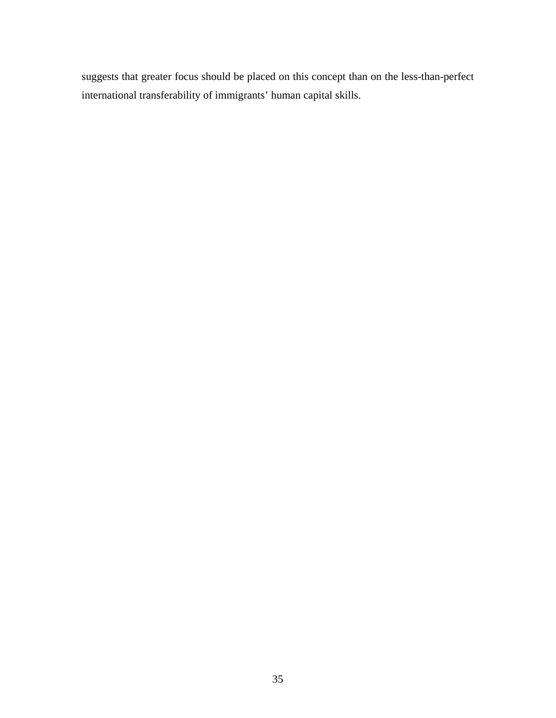suggests that greater focus should be placed on this concept than on the less-than-perfect international transferability of immigrants' human capital skills.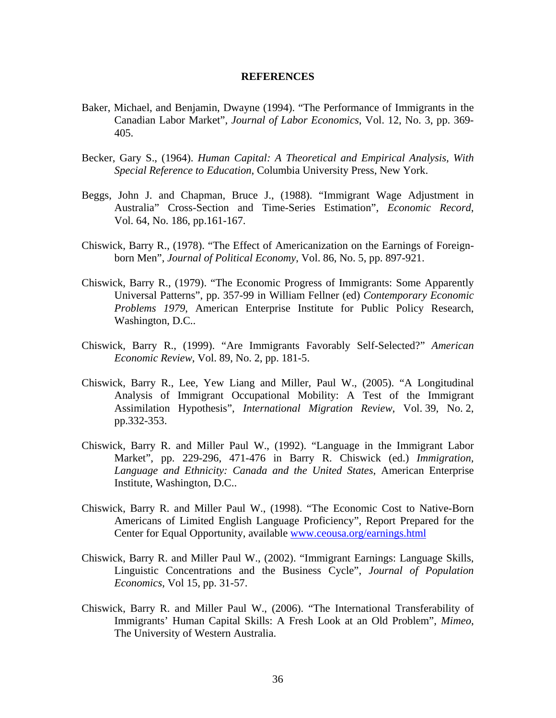#### **REFERENCES**

- Baker, Michael, and Benjamin, Dwayne (1994). "The Performance of Immigrants in the Canadian Labor Market", *Journal of Labor Economics*, Vol. 12, No. 3, pp. 369- 405.
- Becker, Gary S., (1964). *Human Capital: A Theoretical and Empirical Analysis, With Special Reference to Education*, Columbia University Press, New York.
- Beggs, John J. and Chapman, Bruce J., (1988). "Immigrant Wage Adjustment in Australia" Cross-Section and Time-Series Estimation", *Economic Record*, Vol. 64, No. 186, pp.161-167.
- Chiswick, Barry R., (1978). "The Effect of Americanization on the Earnings of Foreignborn Men", *Journal of Political Economy*, Vol. 86, No. 5, pp. 897-921.
- Chiswick, Barry R., (1979). "The Economic Progress of Immigrants: Some Apparently Universal Patterns", pp. 357-99 in William Fellner (ed) *Contemporary Economic Problems 1979*, American Enterprise Institute for Public Policy Research, Washington, D.C..
- Chiswick, Barry R., (1999). "Are Immigrants Favorably Self-Selected?" *American Economic Review*, Vol. 89, No. 2, pp. 181-5.
- Chiswick, Barry R., Lee, Yew Liang and Miller, Paul W., (2005). "A Longitudinal Analysis of Immigrant Occupational Mobility: A Test of the Immigrant Assimilation Hypothesis", *International Migration Review*, Vol. 39, No. 2, pp.332-353.
- Chiswick, Barry R. and Miller Paul W., (1992). "Language in the Immigrant Labor Market", pp. 229-296, 471-476 in Barry R. Chiswick (ed.) *Immigration, Language and Ethnicity: Canada and the United States*, American Enterprise Institute, Washington, D.C..
- Chiswick, Barry R. and Miller Paul W., (1998). "The Economic Cost to Native-Born Americans of Limited English Language Proficiency", Report Prepared for the Center for Equal Opportunity, available [www.ceousa.org/earnings.html](http://www.ceousa.org/earnings.html)
- Chiswick, Barry R. and Miller Paul W., (2002). "Immigrant Earnings: Language Skills, Linguistic Concentrations and the Business Cycle", *Journal of Population Economics*, Vol 15, pp. 31-57.
- Chiswick, Barry R. and Miller Paul W., (2006). "The International Transferability of Immigrants' Human Capital Skills: A Fresh Look at an Old Problem", *Mimeo*, The University of Western Australia.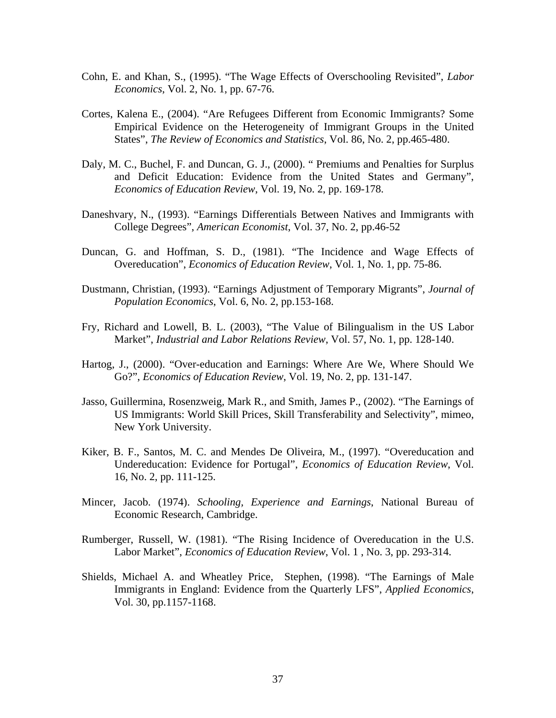- Cohn, E. and Khan, S., (1995). "The Wage Effects of Overschooling Revisited", *Labor Economics*, Vol. 2, No. 1, pp. 67-76.
- Cortes, Kalena E., (2004). "Are Refugees Different from Economic Immigrants? Some Empirical Evidence on the Heterogeneity of Immigrant Groups in the United States", *The Review of Economics and Statistics*, Vol. 86, No. 2, pp.465-480.
- Daly, M. C., Buchel, F. and Duncan, G. J., (2000). " Premiums and Penalties for Surplus and Deficit Education: Evidence from the United States and Germany", *Economics of Education Review*, Vol. 19, No. 2, pp. 169-178.
- Daneshvary, N., (1993). "Earnings Differentials Between Natives and Immigrants with College Degrees", *American Economist*, Vol. 37, No. 2, pp.46-52
- Duncan, G. and Hoffman, S. D., (1981). "The Incidence and Wage Effects of Overeducation", *Economics of Education Review*, Vol. 1, No. 1, pp. 75-86.
- Dustmann, Christian, (1993). "Earnings Adjustment of Temporary Migrants", *Journal of Population Economics*, Vol. 6, No. 2, pp.153-168.
- Fry, Richard and Lowell, B. L. (2003), "The Value of Bilingualism in the US Labor Market", *Industrial and Labor Relations Review*, Vol. 57, No. 1, pp. 128-140.
- Hartog, J., (2000). "Over-education and Earnings: Where Are We, Where Should We Go?", *Economics of Education Review*, Vol. 19, No. 2, pp. 131-147.
- Jasso, Guillermina, Rosenzweig, Mark R., and Smith, James P., (2002). "The Earnings of US Immigrants: World Skill Prices, Skill Transferability and Selectivity", mimeo, New York University.
- Kiker, B. F., Santos, M. C. and Mendes De Oliveira, M., (1997). "Overeducation and Undereducation: Evidence for Portugal", *Economics of Education Review*, Vol. 16, No. 2, pp. 111-125.
- Mincer, Jacob. (1974). *Schooling, Experience and Earnings*, National Bureau of Economic Research, Cambridge.
- Rumberger, Russell, W. (1981). "The Rising Incidence of Overeducation in the U.S. Labor Market", *Economics of Education Review*, Vol. 1 , No. 3, pp. 293-314.
- Shields, Michael A. and Wheatley Price, Stephen, (1998). "The Earnings of Male Immigrants in England: Evidence from the Quarterly LFS", *Applied Economics*, Vol. 30, pp.1157-1168.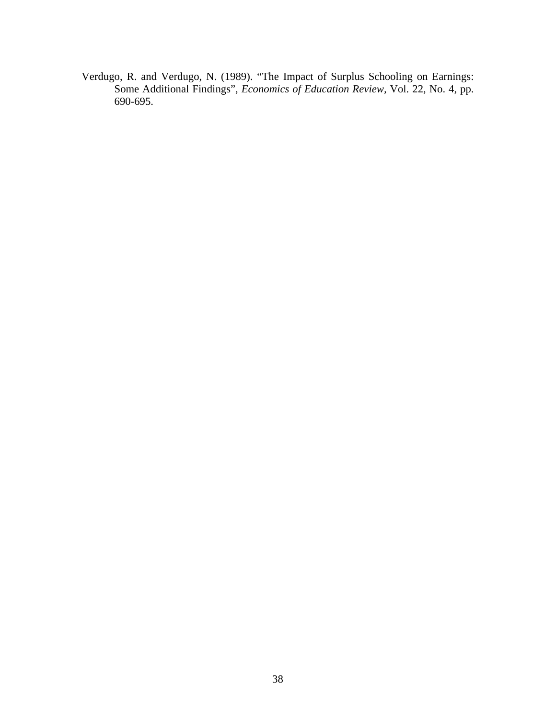Verdugo, R. and Verdugo, N. (1989). "The Impact of Surplus Schooling on Earnings: Some Additional Findings", *Economics of Education Review,* Vol. 22, No. 4, pp. 690-695.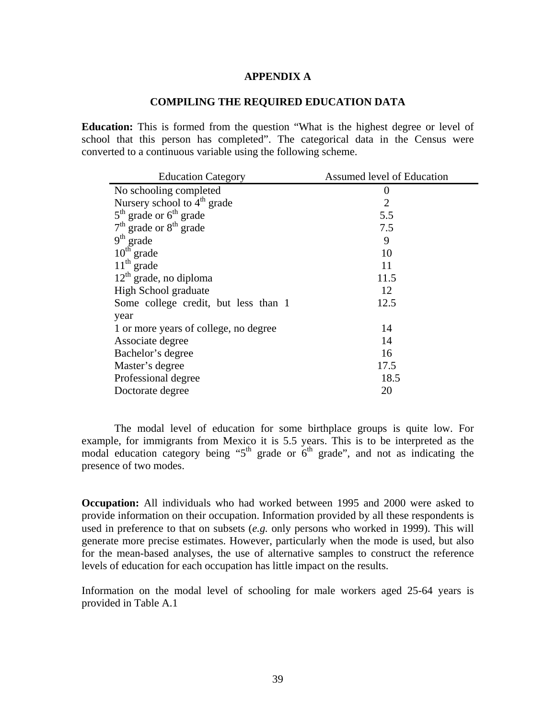### **APPENDIX A**

## **COMPILING THE REQUIRED EDUCATION DATA**

**Education:** This is formed from the question "What is the highest degree or level of school that this person has completed". The categorical data in the Census were converted to a continuous variable using the following scheme.

| <b>Education Category</b>             | Assumed level of Education |
|---------------------------------------|----------------------------|
| No schooling completed                | 0                          |
| Nursery school to $4th$ grade         | $\overline{2}$             |
| $5th$ grade or $6th$ grade            | 5.5                        |
| $7th$ grade or $8th$ grade            | 7.5                        |
| $9th$ grade                           | 9                          |
| $10^{\rm th}$ grade                   | 10                         |
| $11th$ grade                          | 11                         |
| $12th$ grade, no diploma              | 11.5                       |
| High School graduate                  | 12                         |
| Some college credit, but less than 1  | 12.5                       |
| year                                  |                            |
| 1 or more years of college, no degree | 14                         |
| Associate degree                      | 14                         |
| Bachelor's degree                     | 16                         |
| Master's degree                       | 17.5                       |
| Professional degree                   | 18.5                       |
| Doctorate degree                      | 20                         |

 The modal level of education for some birthplace groups is quite low. For example, for immigrants from Mexico it is 5.5 years. This is to be interpreted as the modal education category being "5<sup>th</sup> grade or  $6<sup>th</sup>$  grade", and not as indicating the presence of two modes.

**Occupation:** All individuals who had worked between 1995 and 2000 were asked to provide information on their occupation. Information provided by all these respondents is used in preference to that on subsets (*e.g.* only persons who worked in 1999). This will generate more precise estimates. However, particularly when the mode is used, but also for the mean-based analyses, the use of alternative samples to construct the reference levels of education for each occupation has little impact on the results.

Information on the modal level of schooling for male workers aged 25-64 years is provided in Table A.1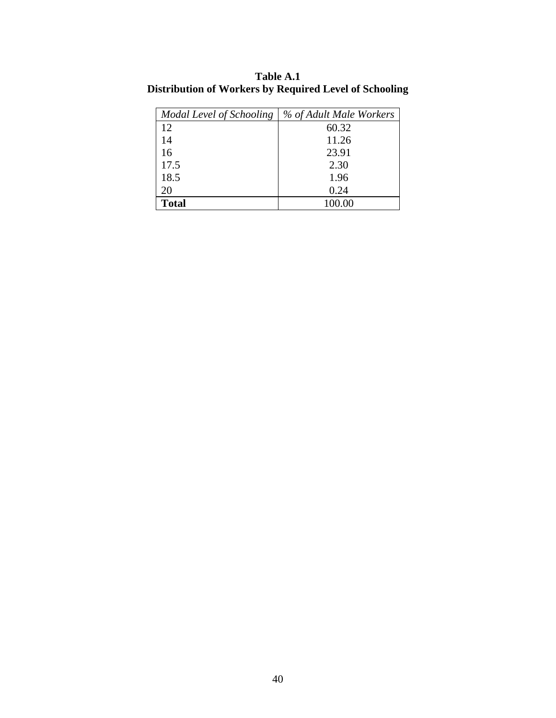| Modal Level of Schooling | % of Adult Male Workers |
|--------------------------|-------------------------|
| 12                       | 60.32                   |
| 14                       | 11.26                   |
| 16                       | 23.91                   |
| 17.5                     | 2.30                    |
| 18.5                     | 1.96                    |
| 20                       | 0.24                    |
| <b>Total</b>             | 100.00                  |

**Table A.1 Distribution of Workers by Required Level of Schooling**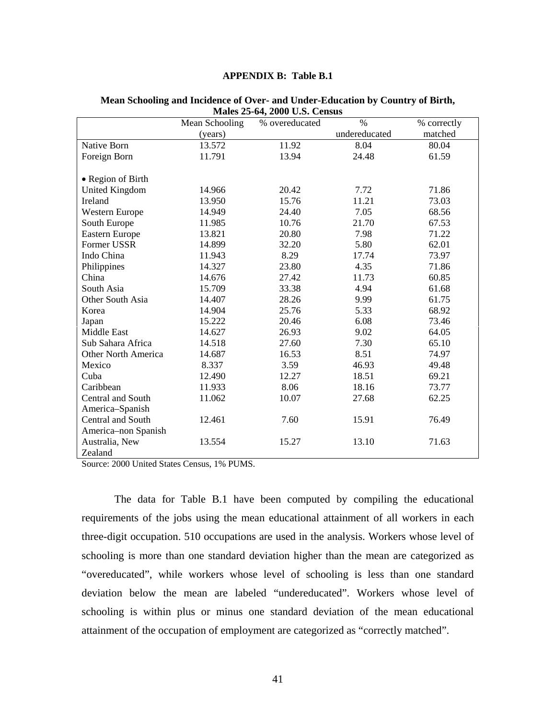### **APPENDIX B: Table B.1**

|                            |                | IVERIUS $25$ -07, $2000$ U.S. Census |               |             |
|----------------------------|----------------|--------------------------------------|---------------|-------------|
|                            | Mean Schooling | % overeducated                       | $\%$          | % correctly |
|                            | (years)        |                                      | undereducated | matched     |
| Native Born                | 13.572         | 11.92                                | 8.04          | 80.04       |
| Foreign Born               | 11.791         | 13.94                                | 24.48         | 61.59       |
|                            |                |                                      |               |             |
| • Region of Birth          |                |                                      |               |             |
| United Kingdom             | 14.966         | 20.42                                | 7.72          | 71.86       |
| Ireland                    | 13.950         | 15.76                                | 11.21         | 73.03       |
| <b>Western Europe</b>      | 14.949         | 24.40                                | 7.05          | 68.56       |
| South Europe               | 11.985         | 10.76                                | 21.70         | 67.53       |
| <b>Eastern Europe</b>      | 13.821         | 20.80                                | 7.98          | 71.22       |
| Former USSR                | 14.899         | 32.20                                | 5.80          | 62.01       |
| Indo China                 | 11.943         | 8.29                                 | 17.74         | 73.97       |
| Philippines                | 14.327         | 23.80                                | 4.35          | 71.86       |
| China                      | 14.676         | 27.42                                | 11.73         | 60.85       |
| South Asia                 | 15.709         | 33.38                                | 4.94          | 61.68       |
| Other South Asia           | 14.407         | 28.26                                | 9.99          | 61.75       |
| Korea                      | 14.904         | 25.76                                | 5.33          | 68.92       |
| Japan                      | 15.222         | 20.46                                | 6.08          | 73.46       |
| <b>Middle East</b>         | 14.627         | 26.93                                | 9.02          | 64.05       |
| Sub Sahara Africa          | 14.518         | 27.60                                | 7.30          | 65.10       |
| <b>Other North America</b> | 14.687         | 16.53                                | 8.51          | 74.97       |
| Mexico                     | 8.337          | 3.59                                 | 46.93         | 49.48       |
| Cuba                       | 12.490         | 12.27                                | 18.51         | 69.21       |
| Caribbean                  | 11.933         | 8.06                                 | 18.16         | 73.77       |
| Central and South          | 11.062         | 10.07                                | 27.68         | 62.25       |
| America-Spanish            |                |                                      |               |             |
| Central and South          | 12.461         | 7.60                                 | 15.91         | 76.49       |
| America-non Spanish        |                |                                      |               |             |
| Australia, New             | 13.554         | 15.27                                | 13.10         | 71.63       |
| Zealand                    |                |                                      |               |             |

#### **Mean Schooling and Incidence of Over- and Under-Education by Country of Birth, Males 25-64, 2000 U.S. Census**

Source: 2000 United States Census, 1% PUMS.

 The data for Table B.1 have been computed by compiling the educational requirements of the jobs using the mean educational attainment of all workers in each three-digit occupation. 510 occupations are used in the analysis. Workers whose level of schooling is more than one standard deviation higher than the mean are categorized as "overeducated", while workers whose level of schooling is less than one standard deviation below the mean are labeled "undereducated". Workers whose level of schooling is within plus or minus one standard deviation of the mean educational attainment of the occupation of employment are categorized as "correctly matched".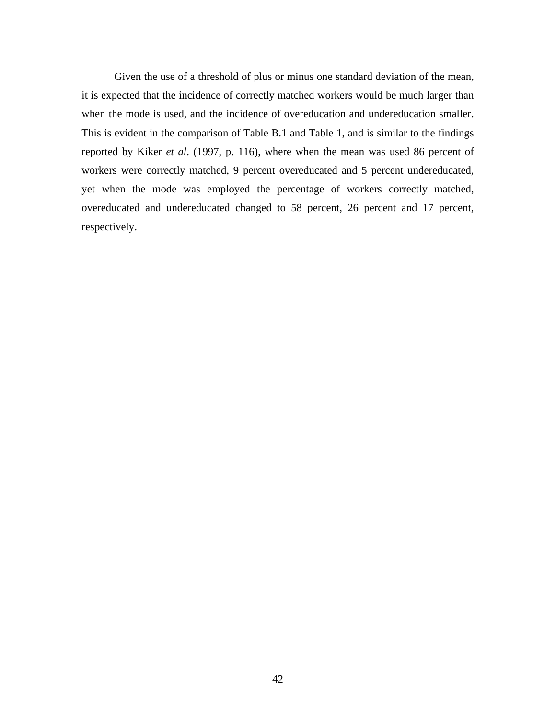Given the use of a threshold of plus or minus one standard deviation of the mean, it is expected that the incidence of correctly matched workers would be much larger than when the mode is used, and the incidence of overeducation and undereducation smaller. This is evident in the comparison of Table B.1 and Table 1, and is similar to the findings reported by Kiker *et al*. (1997, p. 116), where when the mean was used 86 percent of workers were correctly matched, 9 percent overeducated and 5 percent undereducated, yet when the mode was employed the percentage of workers correctly matched, overeducated and undereducated changed to 58 percent, 26 percent and 17 percent, respectively.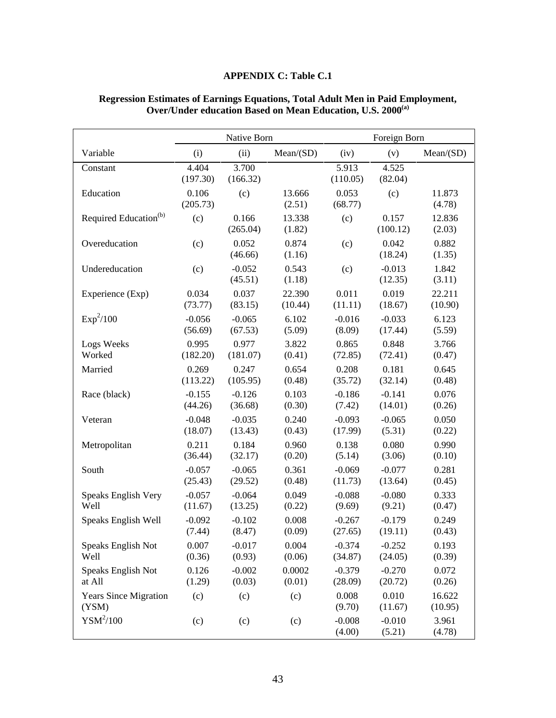# **APPENDIX C: Table C.1**

|                                       | Native Born       |                     |                  | Foreign Born       |                     |                   |
|---------------------------------------|-------------------|---------------------|------------------|--------------------|---------------------|-------------------|
| Variable                              | (i)               | (ii)                | Mean(SD)         | (iv)               | (v)                 | Mean(SD)          |
| Constant                              | 4.404<br>(197.30) | 3.700<br>(166.32)   |                  | 5.913<br>(110.05)  | 4.525<br>(82.04)    |                   |
| Education                             | 0.106<br>(205.73) | (c)                 | 13.666<br>(2.51) | 0.053<br>(68.77)   | (c)                 | 11.873<br>(4.78)  |
| Required Education <sup>(b)</sup>     | (c)               | 0.166<br>(265.04)   | 13.338<br>(1.82) | (c)                | 0.157<br>(100.12)   | 12.836<br>(2.03)  |
| Overeducation                         | (c)               | 0.052<br>(46.66)    | 0.874<br>(1.16)  | (c)                | 0.042<br>(18.24)    | 0.882<br>(1.35)   |
| Undereducation                        | (c)               | $-0.052$<br>(45.51) | 0.543<br>(1.18)  | (c)                | $-0.013$<br>(12.35) | 1.842<br>(3.11)   |
| Experience (Exp)                      | 0.034             | 0.037               | 22.390           | 0.011              | 0.019               | 22.211            |
|                                       | (73.77)           | (83.15)             | (10.44)          | (11.11)            | (18.67)             | (10.90)           |
| Exp <sup>2</sup> /100                 | $-0.056$          | $-0.065$            | 6.102            | $-0.016$           | $-0.033$            | 6.123             |
|                                       | (56.69)           | (67.53)             | (5.09)           | (8.09)             | (17.44)             | (5.59)            |
| Logs Weeks                            | 0.995             | 0.977               | 3.822            | 0.865              | 0.848               | 3.766             |
| Worked                                | (182.20)          | (181.07)            | (0.41)           | (72.85)            | (72.41)             | (0.47)            |
| Married                               | 0.269             | 0.247               | 0.654            | 0.208              | 0.181               | 0.645             |
|                                       | (113.22)          | (105.95)            | (0.48)           | (35.72)            | (32.14)             | (0.48)            |
| Race (black)                          | $-0.155$          | $-0.126$            | 0.103            | $-0.186$           | $-0.141$            | 0.076             |
|                                       | (44.26)           | (36.68)             | (0.30)           | (7.42)             | (14.01)             | (0.26)            |
| Veteran                               | $-0.048$          | $-0.035$            | 0.240            | $-0.093$           | $-0.065$            | 0.050             |
|                                       | (18.07)           | (13.43)             | (0.43)           | (17.99)            | (5.31)              | (0.22)            |
| Metropolitan                          | 0.211             | 0.184               | 0.960            | 0.138              | 0.080               | 0.990             |
|                                       | (36.44)           | (32.17)             | (0.20)           | (5.14)             | (3.06)              | (0.10)            |
| South                                 | $-0.057$          | $-0.065$            | 0.361            | $-0.069$           | $-0.077$            | 0.281             |
|                                       | (25.43)           | (29.52)             | (0.48)           | (11.73)            | (13.64)             | (0.45)            |
| Speaks English Very                   | $-0.057$          | $-0.064$            | 0.049            | $-0.088$           | $-0.080$            | 0.333             |
| Well                                  | (11.67)           | (13.25)             | (0.22)           | (9.69)             | (9.21)              | (0.47)            |
| Speaks English Well                   | $-0.092$          | $-0.102$            | 0.008            | $-0.267$           | $-0.179$            | 0.249             |
|                                       | (7.44)            | (8.47)              | (0.09)           | (27.65)            | (19.11)             | (0.43)            |
| Speaks English Not                    | 0.007             | $-0.017$            | 0.004            | $-0.374$           | $-0.252$            | 0.193             |
| Well                                  | (0.36)            | (0.93)              | (0.06)           | (34.87)            | (24.05)             | (0.39)            |
| Speaks English Not                    | 0.126             | $-0.002$            | 0.0002           | $-0.379$           | $-0.270$            | 0.072             |
| at All                                | (1.29)            | (0.03)              | (0.01)           | (28.09)            | (20.72)             | (0.26)            |
| <b>Years Since Migration</b><br>(YSM) | (c)               | (c)                 | (c)              | 0.008<br>(9.70)    | 0.010<br>(11.67)    | 16.622<br>(10.95) |
| $YSM^2/100$                           | (c)               | (c)                 | (c)              | $-0.008$<br>(4.00) | $-0.010$<br>(5.21)  | 3.961<br>(4.78)   |

### **Regression Estimates of Earnings Equations, Total Adult Men in Paid Employment, Over/Under education Based on Mean Education, U.S. 2000(a)**